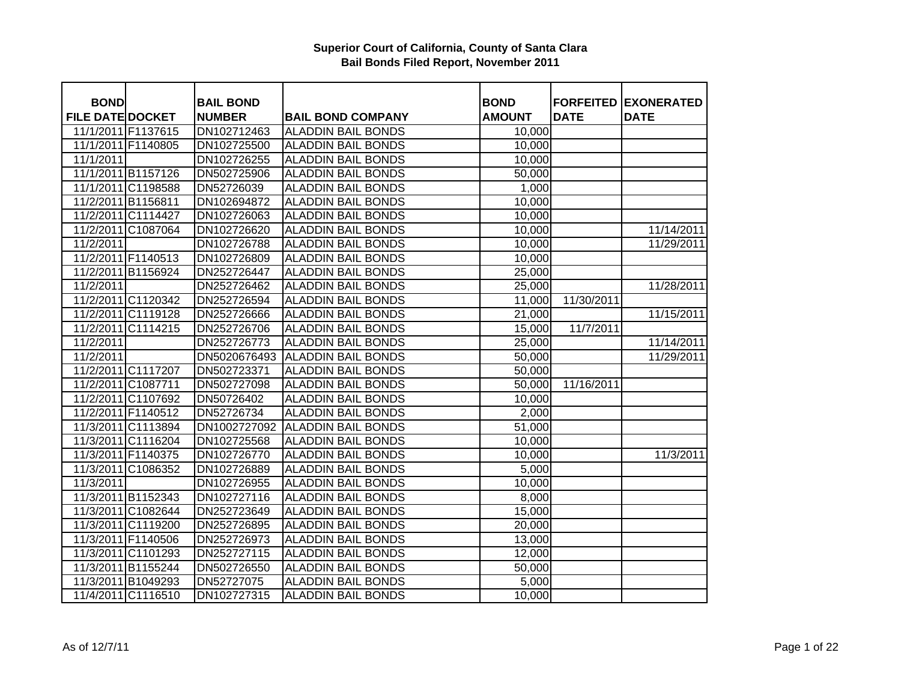| <b>BOND</b>             |                    | <b>BAIL BOND</b> |                           | <b>BOND</b>   | <b>FORFEITED</b> | <b>EXONERATED</b> |
|-------------------------|--------------------|------------------|---------------------------|---------------|------------------|-------------------|
| <b>FILE DATE DOCKET</b> |                    | <b>NUMBER</b>    | <b>BAIL BOND COMPANY</b>  | <b>AMOUNT</b> | <b>DATE</b>      | <b>DATE</b>       |
| 11/1/2011 F1137615      |                    | DN102712463      | <b>ALADDIN BAIL BONDS</b> | 10,000        |                  |                   |
| 11/1/2011 F1140805      |                    | DN102725500      | <b>ALADDIN BAIL BONDS</b> | 10,000        |                  |                   |
| 11/1/2011               |                    | DN102726255      | <b>ALADDIN BAIL BONDS</b> | 10,000        |                  |                   |
| 11/1/2011 B1157126      |                    | DN502725906      | <b>ALADDIN BAIL BONDS</b> | 50,000        |                  |                   |
| 11/1/2011 C1198588      |                    | DN52726039       | <b>ALADDIN BAIL BONDS</b> | 1,000         |                  |                   |
| 11/2/2011 B1156811      |                    | DN102694872      | <b>ALADDIN BAIL BONDS</b> | 10,000        |                  |                   |
| 11/2/2011 C1114427      |                    | DN102726063      | <b>ALADDIN BAIL BONDS</b> | 10,000        |                  |                   |
| 11/2/2011 C1087064      |                    | DN102726620      | <b>ALADDIN BAIL BONDS</b> | 10,000        |                  | 11/14/2011        |
| 11/2/2011               |                    | DN102726788      | <b>ALADDIN BAIL BONDS</b> | 10,000        |                  | 11/29/2011        |
| 11/2/2011 F1140513      |                    | DN102726809      | <b>ALADDIN BAIL BONDS</b> | 10,000        |                  |                   |
| 11/2/2011 B1156924      |                    | DN252726447      | <b>ALADDIN BAIL BONDS</b> | 25,000        |                  |                   |
| 11/2/2011               |                    | DN252726462      | <b>ALADDIN BAIL BONDS</b> | 25,000        |                  | 11/28/2011        |
| 11/2/2011 C1120342      |                    | DN252726594      | <b>ALADDIN BAIL BONDS</b> | 11,000        | 11/30/2011       |                   |
|                         | 11/2/2011 C1119128 | DN252726666      | <b>ALADDIN BAIL BONDS</b> | 21,000        |                  | 11/15/2011        |
|                         | 11/2/2011 C1114215 | DN252726706      | <b>ALADDIN BAIL BONDS</b> | 15,000        | 11/7/2011        |                   |
| 11/2/2011               |                    | DN252726773      | <b>ALADDIN BAIL BONDS</b> | 25,000        |                  | 11/14/2011        |
| 11/2/2011               |                    | DN5020676493     | <b>ALADDIN BAIL BONDS</b> | 50,000        |                  | 11/29/2011        |
| 11/2/2011 C1117207      |                    | DN502723371      | <b>ALADDIN BAIL BONDS</b> | 50,000        |                  |                   |
| 11/2/2011 C1087711      |                    | DN502727098      | <b>ALADDIN BAIL BONDS</b> | 50,000        | 11/16/2011       |                   |
|                         | 11/2/2011 C1107692 | DN50726402       | <b>ALADDIN BAIL BONDS</b> | 10,000        |                  |                   |
| 11/2/2011 F1140512      |                    | DN52726734       | <b>ALADDIN BAIL BONDS</b> | 2,000         |                  |                   |
|                         | 11/3/2011 C1113894 | DN1002727092     | <b>ALADDIN BAIL BONDS</b> | 51,000        |                  |                   |
|                         | 11/3/2011 C1116204 | DN102725568      | <b>ALADDIN BAIL BONDS</b> | 10,000        |                  |                   |
| 11/3/2011 F1140375      |                    | DN102726770      | <b>ALADDIN BAIL BONDS</b> | 10,000        |                  | 11/3/2011         |
| 11/3/2011 C1086352      |                    | DN102726889      | <b>ALADDIN BAIL BONDS</b> | 5,000         |                  |                   |
| 11/3/2011               |                    | DN102726955      | <b>ALADDIN BAIL BONDS</b> | 10,000        |                  |                   |
| 11/3/2011 B1152343      |                    | DN102727116      | <b>ALADDIN BAIL BONDS</b> | 8,000         |                  |                   |
| 11/3/2011 C1082644      |                    | DN252723649      | <b>ALADDIN BAIL BONDS</b> | 15,000        |                  |                   |
| 11/3/2011 C1119200      |                    | DN252726895      | <b>ALADDIN BAIL BONDS</b> | 20,000        |                  |                   |
| 11/3/2011 F1140506      |                    | DN252726973      | <b>ALADDIN BAIL BONDS</b> | 13,000        |                  |                   |
| 11/3/2011 C1101293      |                    | DN252727115      | <b>ALADDIN BAIL BONDS</b> | 12,000        |                  |                   |
| 11/3/2011 B1155244      |                    | DN502726550      | <b>ALADDIN BAIL BONDS</b> | 50,000        |                  |                   |
|                         | 11/3/2011 B1049293 | DN52727075       | <b>ALADDIN BAIL BONDS</b> | 5,000         |                  |                   |
|                         | 11/4/2011 C1116510 | DN102727315      | <b>ALADDIN BAIL BONDS</b> | 10,000        |                  |                   |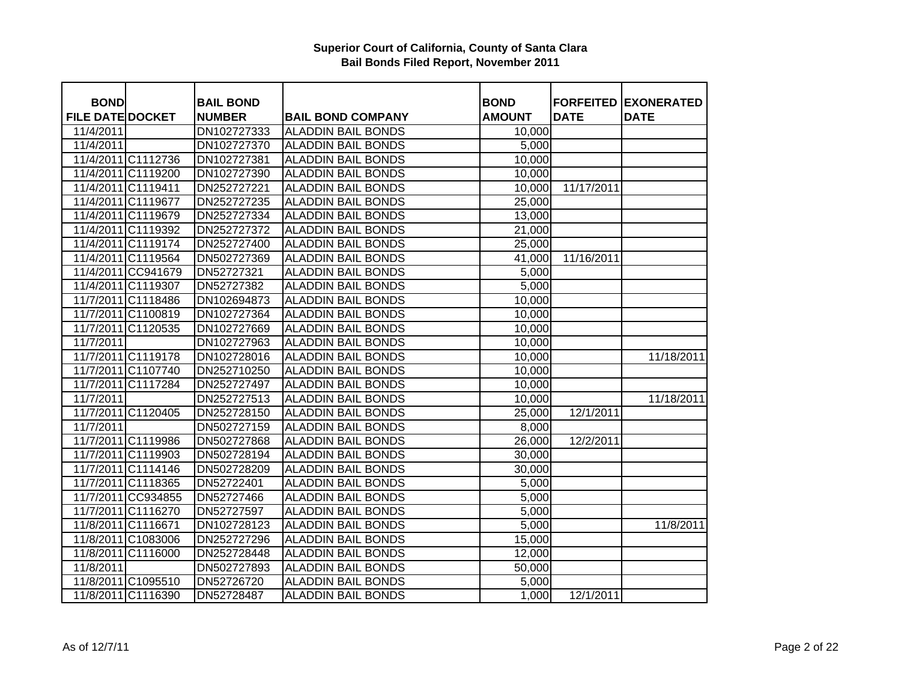| <b>BOND</b>             |                    | <b>BAIL BOND</b> |                           | <b>BOND</b>   | <b>FORFEITED</b> | <b>EXONERATED</b> |
|-------------------------|--------------------|------------------|---------------------------|---------------|------------------|-------------------|
| <b>FILE DATE DOCKET</b> |                    | <b>NUMBER</b>    | <b>BAIL BOND COMPANY</b>  | <b>AMOUNT</b> | <b>DATE</b>      | <b>DATE</b>       |
| 11/4/2011               |                    | DN102727333      | <b>ALADDIN BAIL BONDS</b> | 10,000        |                  |                   |
| 11/4/2011               |                    | DN102727370      | <b>ALADDIN BAIL BONDS</b> | 5,000         |                  |                   |
|                         | 11/4/2011 C1112736 | DN102727381      | <b>ALADDIN BAIL BONDS</b> | 10,000        |                  |                   |
|                         | 11/4/2011 C1119200 | DN102727390      | <b>ALADDIN BAIL BONDS</b> | 10,000        |                  |                   |
| 11/4/2011 C1119411      |                    | DN252727221      | <b>ALADDIN BAIL BONDS</b> | 10,000        | 11/17/2011       |                   |
| 11/4/2011 C1119677      |                    | DN252727235      | <b>ALADDIN BAIL BONDS</b> | 25,000        |                  |                   |
|                         | 11/4/2011 C1119679 | DN252727334      | <b>ALADDIN BAIL BONDS</b> | 13,000        |                  |                   |
|                         | 11/4/2011 C1119392 | DN252727372      | <b>ALADDIN BAIL BONDS</b> | 21,000        |                  |                   |
|                         | 11/4/2011 C1119174 | DN252727400      | <b>ALADDIN BAIL BONDS</b> | 25,000        |                  |                   |
|                         | 11/4/2011 C1119564 | DN502727369      | <b>ALADDIN BAIL BONDS</b> | 41,000        | 11/16/2011       |                   |
|                         | 11/4/2011 CC941679 | DN52727321       | <b>ALADDIN BAIL BONDS</b> | 5,000         |                  |                   |
|                         | 11/4/2011 C1119307 | DN52727382       | <b>ALADDIN BAIL BONDS</b> | 5,000         |                  |                   |
|                         | 11/7/2011 C1118486 | DN102694873      | <b>ALADDIN BAIL BONDS</b> | 10,000        |                  |                   |
|                         | 11/7/2011 C1100819 | DN102727364      | <b>ALADDIN BAIL BONDS</b> | 10,000        |                  |                   |
|                         | 11/7/2011 C1120535 | DN102727669      | ALADDIN BAIL BONDS        | 10,000        |                  |                   |
| 11/7/2011               |                    | DN102727963      | <b>ALADDIN BAIL BONDS</b> | 10,000        |                  |                   |
|                         | 11/7/2011 C1119178 | DN102728016      | <b>ALADDIN BAIL BONDS</b> | 10,000        |                  | 11/18/2011        |
|                         | 11/7/2011 C1107740 | DN252710250      | <b>ALADDIN BAIL BONDS</b> | 10,000        |                  |                   |
|                         | 11/7/2011 C1117284 | DN252727497      | <b>ALADDIN BAIL BONDS</b> | 10,000        |                  |                   |
| 11/7/2011               |                    | DN252727513      | <b>ALADDIN BAIL BONDS</b> | 10,000        |                  | 11/18/2011        |
|                         | 11/7/2011 C1120405 | DN252728150      | <b>ALADDIN BAIL BONDS</b> | 25,000        | 12/1/2011        |                   |
| 11/7/2011               |                    | DN502727159      | <b>ALADDIN BAIL BONDS</b> | 8,000         |                  |                   |
|                         | 11/7/2011 C1119986 | DN502727868      | <b>ALADDIN BAIL BONDS</b> | 26,000        | 12/2/2011        |                   |
|                         | 11/7/2011 C1119903 | DN502728194      | <b>ALADDIN BAIL BONDS</b> | 30,000        |                  |                   |
|                         | 11/7/2011 C1114146 | DN502728209      | <b>ALADDIN BAIL BONDS</b> | 30,000        |                  |                   |
|                         | 11/7/2011 C1118365 | DN52722401       | <b>ALADDIN BAIL BONDS</b> | 5,000         |                  |                   |
|                         | 11/7/2011 CC934855 | DN52727466       | <b>ALADDIN BAIL BONDS</b> | 5,000         |                  |                   |
|                         | 11/7/2011 C1116270 | DN52727597       | <b>ALADDIN BAIL BONDS</b> | 5,000         |                  |                   |
|                         | 11/8/2011 C1116671 | DN102728123      | <b>ALADDIN BAIL BONDS</b> | 5,000         |                  | 11/8/2011         |
|                         | 11/8/2011 C1083006 | DN252727296      | <b>ALADDIN BAIL BONDS</b> | 15,000        |                  |                   |
|                         | 11/8/2011 C1116000 | DN252728448      | <b>ALADDIN BAIL BONDS</b> | 12,000        |                  |                   |
| 11/8/2011               |                    | DN502727893      | <b>ALADDIN BAIL BONDS</b> | 50,000        |                  |                   |
|                         | 11/8/2011 C1095510 | DN52726720       | <b>ALADDIN BAIL BONDS</b> | 5,000         |                  |                   |
|                         | 11/8/2011 C1116390 | DN52728487       | <b>ALADDIN BAIL BONDS</b> | 1,000         | 12/1/2011        |                   |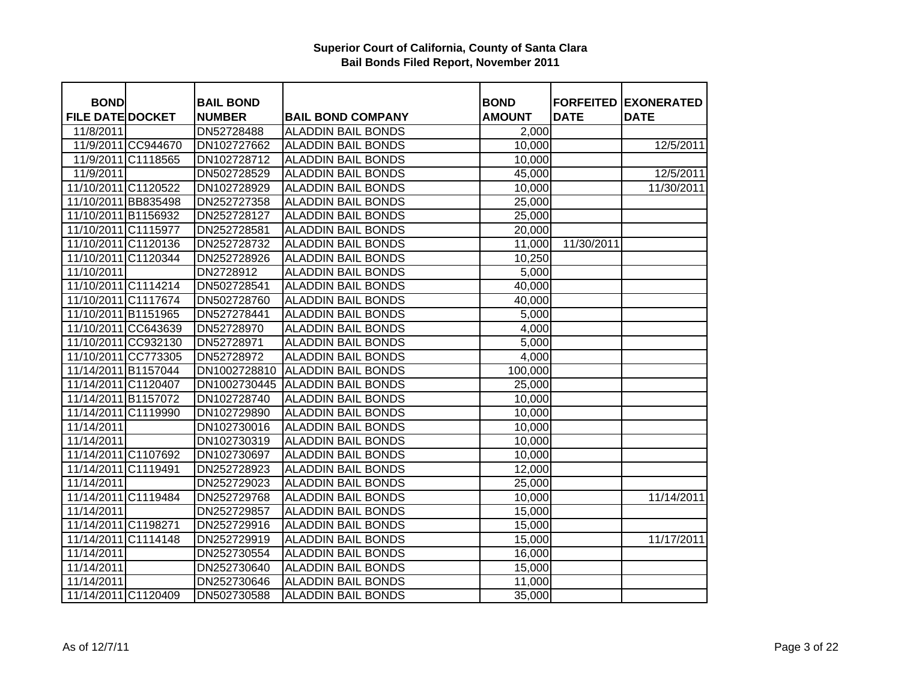| <b>BOND</b>             |                    | <b>BAIL BOND</b> |                           | <b>BOND</b>   | <b>FORFEITED</b> | <b>EXONERATED</b> |
|-------------------------|--------------------|------------------|---------------------------|---------------|------------------|-------------------|
| <b>FILE DATE DOCKET</b> |                    | <b>NUMBER</b>    | <b>BAIL BOND COMPANY</b>  | <b>AMOUNT</b> | <b>DATE</b>      | <b>DATE</b>       |
| 11/8/2011               |                    | DN52728488       | <b>ALADDIN BAIL BONDS</b> | 2,000         |                  |                   |
|                         | 11/9/2011 CC944670 | DN102727662      | <b>ALADDIN BAIL BONDS</b> | 10,000        |                  | 12/5/2011         |
|                         | 11/9/2011 C1118565 | DN102728712      | <b>ALADDIN BAIL BONDS</b> | 10,000        |                  |                   |
| 11/9/2011               |                    | DN502728529      | <b>ALADDIN BAIL BONDS</b> | 45,000        |                  | 12/5/2011         |
| 11/10/2011 C1120522     |                    | DN102728929      | <b>ALADDIN BAIL BONDS</b> | 10,000        |                  | 11/30/2011        |
| 11/10/2011 BB835498     |                    | DN252727358      | <b>ALADDIN BAIL BONDS</b> | 25,000        |                  |                   |
| 11/10/2011 B1156932     |                    | DN252728127      | <b>ALADDIN BAIL BONDS</b> | 25,000        |                  |                   |
| 11/10/2011 C1115977     |                    | DN252728581      | <b>ALADDIN BAIL BONDS</b> | 20,000        |                  |                   |
| 11/10/2011 C1120136     |                    | DN252728732      | <b>ALADDIN BAIL BONDS</b> | 11,000        | 11/30/2011       |                   |
| 11/10/2011 C1120344     |                    | DN252728926      | <b>ALADDIN BAIL BONDS</b> | 10,250        |                  |                   |
| 11/10/2011              |                    | DN2728912        | <b>ALADDIN BAIL BONDS</b> | 5,000         |                  |                   |
| 11/10/2011 C1114214     |                    | DN502728541      | <b>ALADDIN BAIL BONDS</b> | 40,000        |                  |                   |
| 11/10/2011 C1117674     |                    | DN502728760      | <b>ALADDIN BAIL BONDS</b> | 40,000        |                  |                   |
| 11/10/2011 B1151965     |                    | DN527278441      | <b>ALADDIN BAIL BONDS</b> | 5,000         |                  |                   |
| 11/10/2011 CC643639     |                    | DN52728970       | <b>ALADDIN BAIL BONDS</b> | 4,000         |                  |                   |
| 11/10/2011 CC932130     |                    | DN52728971       | <b>ALADDIN BAIL BONDS</b> | 5,000         |                  |                   |
| 11/10/2011 CC773305     |                    | DN52728972       | <b>ALADDIN BAIL BONDS</b> | 4,000         |                  |                   |
| 11/14/2011 B1157044     |                    | DN1002728810     | <b>ALADDIN BAIL BONDS</b> | 100,000       |                  |                   |
| 11/14/2011 C1120407     |                    | DN1002730445     | <b>ALADDIN BAIL BONDS</b> | 25,000        |                  |                   |
| 11/14/2011 B1157072     |                    | DN102728740      | <b>ALADDIN BAIL BONDS</b> | 10,000        |                  |                   |
| 11/14/2011 C1119990     |                    | DN102729890      | <b>ALADDIN BAIL BONDS</b> | 10,000        |                  |                   |
| 11/14/2011              |                    | DN102730016      | <b>ALADDIN BAIL BONDS</b> | 10,000        |                  |                   |
| 11/14/2011              |                    | DN102730319      | <b>ALADDIN BAIL BONDS</b> | 10,000        |                  |                   |
| 11/14/2011 C1107692     |                    | DN102730697      | <b>ALADDIN BAIL BONDS</b> | 10,000        |                  |                   |
| 11/14/2011 C1119491     |                    | DN252728923      | <b>ALADDIN BAIL BONDS</b> | 12,000        |                  |                   |
| 11/14/2011              |                    | DN252729023      | <b>ALADDIN BAIL BONDS</b> | 25,000        |                  |                   |
| 11/14/2011 C1119484     |                    | DN252729768      | <b>ALADDIN BAIL BONDS</b> | 10,000        |                  | 11/14/2011        |
| 11/14/2011              |                    | DN252729857      | <b>ALADDIN BAIL BONDS</b> | 15,000        |                  |                   |
| 11/14/2011 C1198271     |                    | DN252729916      | <b>ALADDIN BAIL BONDS</b> | 15,000        |                  |                   |
| 11/14/2011 C1114148     |                    | DN252729919      | <b>ALADDIN BAIL BONDS</b> | 15,000        |                  | 11/17/2011        |
| 11/14/2011              |                    | DN252730554      | <b>ALADDIN BAIL BONDS</b> | 16,000        |                  |                   |
| 11/14/2011              |                    | DN252730640      | <b>ALADDIN BAIL BONDS</b> | 15,000        |                  |                   |
| 11/14/2011              |                    | DN252730646      | <b>ALADDIN BAIL BONDS</b> | 11,000        |                  |                   |
| 11/14/2011 C1120409     |                    | DN502730588      | <b>ALADDIN BAIL BONDS</b> | 35,000        |                  |                   |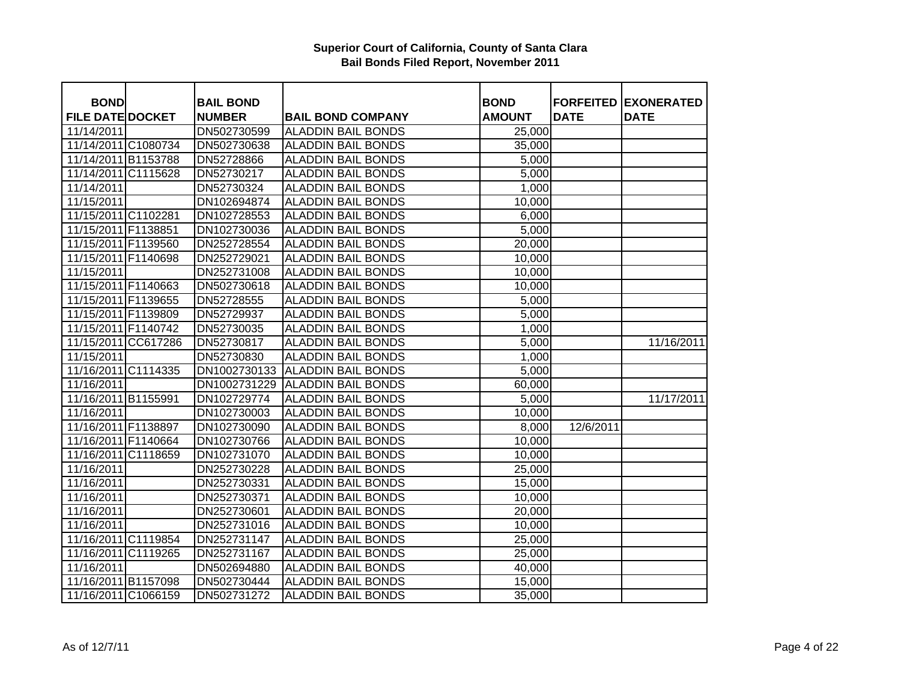| <b>BOND</b>             | <b>BAIL BOND</b> |                           | <b>BOND</b>   | <b>FORFEITED</b> | <b>EXONERATED</b> |
|-------------------------|------------------|---------------------------|---------------|------------------|-------------------|
| <b>FILE DATE DOCKET</b> | <b>NUMBER</b>    | <b>BAIL BOND COMPANY</b>  | <b>AMOUNT</b> | <b>DATE</b>      | <b>DATE</b>       |
| 11/14/2011              | DN502730599      | <b>ALADDIN BAIL BONDS</b> | 25,000        |                  |                   |
| 11/14/2011 C1080734     | DN502730638      | <b>ALADDIN BAIL BONDS</b> | 35,000        |                  |                   |
| 11/14/2011 B1153788     | DN52728866       | <b>ALADDIN BAIL BONDS</b> | 5,000         |                  |                   |
| 11/14/2011 C1115628     | DN52730217       | <b>ALADDIN BAIL BONDS</b> | 5,000         |                  |                   |
| 11/14/2011              | DN52730324       | <b>ALADDIN BAIL BONDS</b> | 1,000         |                  |                   |
| 11/15/2011              | DN102694874      | <b>ALADDIN BAIL BONDS</b> | 10,000        |                  |                   |
| 11/15/2011 C1102281     | DN102728553      | <b>ALADDIN BAIL BONDS</b> | 6,000         |                  |                   |
| 11/15/2011 F1138851     | DN102730036      | <b>ALADDIN BAIL BONDS</b> | 5,000         |                  |                   |
| 11/15/2011 F1139560     | DN252728554      | <b>ALADDIN BAIL BONDS</b> | 20,000        |                  |                   |
| 11/15/2011 F1140698     | DN252729021      | <b>ALADDIN BAIL BONDS</b> | 10,000        |                  |                   |
| 11/15/2011              | DN252731008      | <b>ALADDIN BAIL BONDS</b> | 10,000        |                  |                   |
| 11/15/2011 F1140663     | DN502730618      | <b>ALADDIN BAIL BONDS</b> | 10,000        |                  |                   |
| 11/15/2011 F1139655     | DN52728555       | <b>ALADDIN BAIL BONDS</b> | 5,000         |                  |                   |
| 11/15/2011 F1139809     | DN52729937       | <b>ALADDIN BAIL BONDS</b> | 5,000         |                  |                   |
| 11/15/2011 F1140742     | DN52730035       | <b>ALADDIN BAIL BONDS</b> | 1,000         |                  |                   |
| 11/15/2011 CC617286     | DN52730817       | <b>ALADDIN BAIL BONDS</b> | 5,000         |                  | 11/16/2011        |
| 11/15/2011              | DN52730830       | <b>ALADDIN BAIL BONDS</b> | 1,000         |                  |                   |
| 11/16/2011 C1114335     | DN1002730133     | <b>ALADDIN BAIL BONDS</b> | 5,000         |                  |                   |
| 11/16/2011              | DN1002731229     | <b>ALADDIN BAIL BONDS</b> | 60,000        |                  |                   |
| 11/16/2011 B1155991     | DN102729774      | <b>ALADDIN BAIL BONDS</b> | 5,000         |                  | 11/17/2011        |
| 11/16/2011              | DN102730003      | <b>ALADDIN BAIL BONDS</b> | 10,000        |                  |                   |
| 11/16/2011 F1138897     | DN102730090      | <b>ALADDIN BAIL BONDS</b> | 8,000         | 12/6/2011        |                   |
| 11/16/2011 F1140664     | DN102730766      | <b>ALADDIN BAIL BONDS</b> | 10,000        |                  |                   |
| 11/16/2011 C1118659     | DN102731070      | <b>ALADDIN BAIL BONDS</b> | 10,000        |                  |                   |
| 11/16/2011              | DN252730228      | <b>ALADDIN BAIL BONDS</b> | 25,000        |                  |                   |
| 11/16/2011              | DN252730331      | <b>ALADDIN BAIL BONDS</b> | 15,000        |                  |                   |
| 11/16/2011              | DN252730371      | <b>ALADDIN BAIL BONDS</b> | 10,000        |                  |                   |
| 11/16/2011              | DN252730601      | <b>ALADDIN BAIL BONDS</b> | 20,000        |                  |                   |
| 11/16/2011              | DN252731016      | <b>ALADDIN BAIL BONDS</b> | 10,000        |                  |                   |
| 11/16/2011 C1119854     | DN252731147      | <b>ALADDIN BAIL BONDS</b> | 25,000        |                  |                   |
| 11/16/2011 C1119265     | DN252731167      | <b>ALADDIN BAIL BONDS</b> | 25,000        |                  |                   |
| 11/16/2011              | DN502694880      | <b>ALADDIN BAIL BONDS</b> | 40,000        |                  |                   |
| 11/16/2011 B1157098     | DN502730444      | <b>ALADDIN BAIL BONDS</b> | 15,000        |                  |                   |
| 11/16/2011 C1066159     | DN502731272      | <b>ALADDIN BAIL BONDS</b> | 35,000        |                  |                   |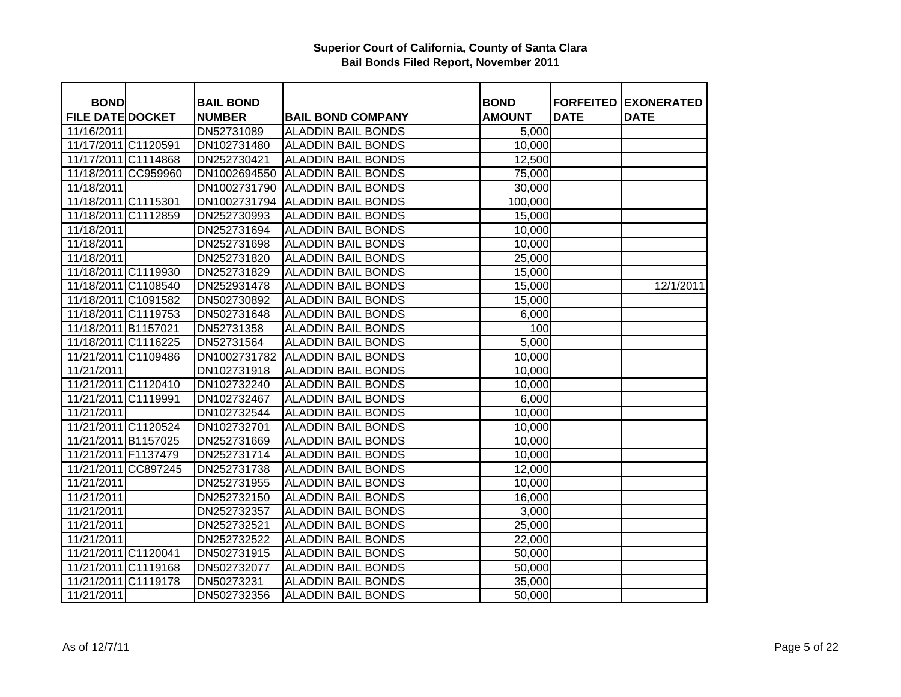| <b>BOND</b>             | <b>BAIL BOND</b> |                           | <b>BOND</b>   | <b>FORFEITED</b> | <b>EXONERATED</b> |
|-------------------------|------------------|---------------------------|---------------|------------------|-------------------|
| <b>FILE DATE DOCKET</b> | <b>NUMBER</b>    | <b>BAIL BOND COMPANY</b>  | <b>AMOUNT</b> | <b>DATE</b>      | <b>DATE</b>       |
| 11/16/2011              | DN52731089       | <b>ALADDIN BAIL BONDS</b> | 5,000         |                  |                   |
| 11/17/2011 C1120591     | DN102731480      | <b>ALADDIN BAIL BONDS</b> | 10,000        |                  |                   |
| 11/17/2011 C1114868     | DN252730421      | <b>ALADDIN BAIL BONDS</b> | 12,500        |                  |                   |
| 11/18/2011 CC959960     | DN1002694550     | <b>ALADDIN BAIL BONDS</b> | 75,000        |                  |                   |
| 11/18/2011              | DN1002731790     | <b>ALADDIN BAIL BONDS</b> | 30,000        |                  |                   |
| 11/18/2011 C1115301     | DN1002731794     | <b>ALADDIN BAIL BONDS</b> | 100,000       |                  |                   |
| 11/18/2011 C1112859     | DN252730993      | <b>ALADDIN BAIL BONDS</b> | 15,000        |                  |                   |
| 11/18/2011              | DN252731694      | <b>ALADDIN BAIL BONDS</b> | 10,000        |                  |                   |
| 11/18/2011              | DN252731698      | <b>ALADDIN BAIL BONDS</b> | 10,000        |                  |                   |
| 11/18/2011              | DN252731820      | <b>ALADDIN BAIL BONDS</b> | 25,000        |                  |                   |
| 11/18/2011 C1119930     | DN252731829      | <b>ALADDIN BAIL BONDS</b> | 15,000        |                  |                   |
| 11/18/2011 C1108540     | DN252931478      | <b>ALADDIN BAIL BONDS</b> | 15,000        |                  | 12/1/2011         |
| 11/18/2011 C1091582     | DN502730892      | <b>ALADDIN BAIL BONDS</b> | 15,000        |                  |                   |
| 11/18/2011 C1119753     | DN502731648      | <b>ALADDIN BAIL BONDS</b> | 6,000         |                  |                   |
| 11/18/2011 B1157021     | DN52731358       | <b>ALADDIN BAIL BONDS</b> | 100           |                  |                   |
| 11/18/2011 C1116225     | DN52731564       | <b>ALADDIN BAIL BONDS</b> | 5,000         |                  |                   |
| 11/21/2011 C1109486     | DN1002731782     | <b>ALADDIN BAIL BONDS</b> | 10,000        |                  |                   |
| 11/21/2011              | DN102731918      | <b>ALADDIN BAIL BONDS</b> | 10,000        |                  |                   |
| 11/21/2011 C1120410     | DN102732240      | <b>ALADDIN BAIL BONDS</b> | 10,000        |                  |                   |
| 11/21/2011 C1119991     | DN102732467      | <b>ALADDIN BAIL BONDS</b> | 6,000         |                  |                   |
| 11/21/2011              | DN102732544      | <b>ALADDIN BAIL BONDS</b> | 10,000        |                  |                   |
| 11/21/2011 C1120524     | DN102732701      | <b>ALADDIN BAIL BONDS</b> | 10,000        |                  |                   |
| 11/21/2011 B1157025     | DN252731669      | <b>ALADDIN BAIL BONDS</b> | 10,000        |                  |                   |
| 11/21/2011 F1137479     | DN252731714      | <b>ALADDIN BAIL BONDS</b> | 10,000        |                  |                   |
| 11/21/2011 CC897245     | DN252731738      | <b>ALADDIN BAIL BONDS</b> | 12,000        |                  |                   |
| 11/21/2011              | DN252731955      | <b>ALADDIN BAIL BONDS</b> | 10,000        |                  |                   |
| 11/21/2011              | DN252732150      | <b>ALADDIN BAIL BONDS</b> | 16,000        |                  |                   |
| 11/21/2011              | DN252732357      | <b>ALADDIN BAIL BONDS</b> | 3,000         |                  |                   |
| 11/21/2011              | DN252732521      | <b>ALADDIN BAIL BONDS</b> | 25,000        |                  |                   |
| 11/21/2011              | DN252732522      | <b>ALADDIN BAIL BONDS</b> | 22,000        |                  |                   |
| 11/21/2011 C1120041     | DN502731915      | <b>ALADDIN BAIL BONDS</b> | 50,000        |                  |                   |
| 11/21/2011 C1119168     | DN502732077      | <b>ALADDIN BAIL BONDS</b> | 50,000        |                  |                   |
| 11/21/2011 C1119178     | DN50273231       | <b>ALADDIN BAIL BONDS</b> | 35,000        |                  |                   |
| 11/21/2011              | DN502732356      | <b>ALADDIN BAIL BONDS</b> | 50,000        |                  |                   |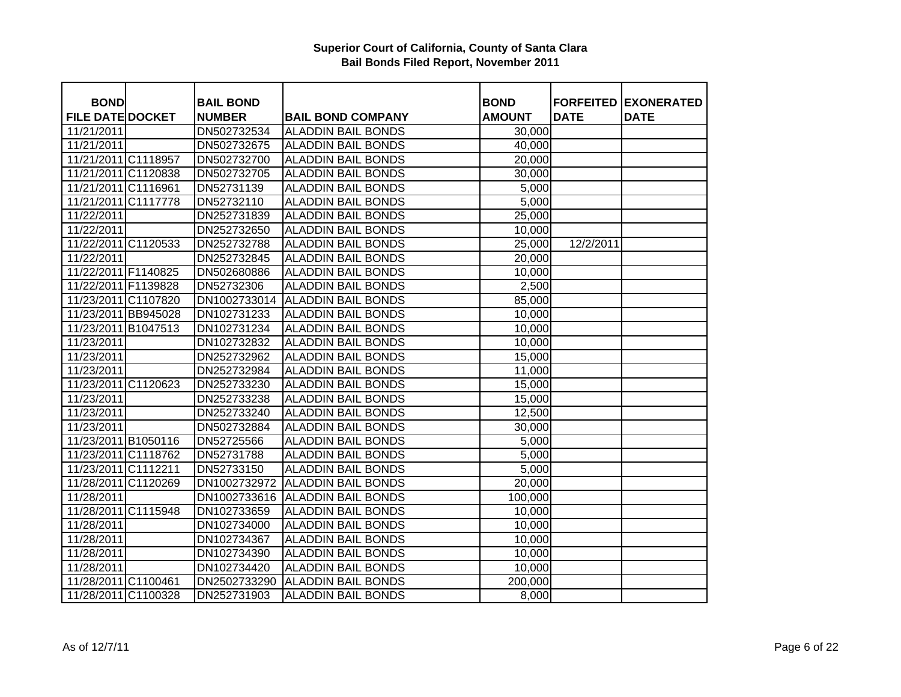| <b>BOND</b>                           | <b>BAIL BOND</b>             |                                                       | <b>BOND</b>             |             | <b>FORFEITED EXONERATED</b> |
|---------------------------------------|------------------------------|-------------------------------------------------------|-------------------------|-------------|-----------------------------|
| <b>FILE DATE DOCKET</b><br>11/21/2011 | <b>NUMBER</b><br>DN502732534 | <b>BAIL BOND COMPANY</b><br><b>ALADDIN BAIL BONDS</b> | <b>AMOUNT</b><br>30,000 | <b>DATE</b> | <b>DATE</b>                 |
| 11/21/2011                            | DN502732675                  | <b>ALADDIN BAIL BONDS</b>                             | 40,000                  |             |                             |
| 11/21/2011 C1118957                   | DN502732700                  | <b>ALADDIN BAIL BONDS</b>                             | 20,000                  |             |                             |
| 11/21/2011 C1120838                   | DN502732705                  | <b>ALADDIN BAIL BONDS</b>                             | 30,000                  |             |                             |
| 11/21/2011 C1116961                   | DN52731139                   | <b>ALADDIN BAIL BONDS</b>                             | 5,000                   |             |                             |
|                                       |                              |                                                       |                         |             |                             |
| 11/21/2011 C1117778                   | DN52732110                   | <b>ALADDIN BAIL BONDS</b>                             | 5,000                   |             |                             |
| 11/22/2011                            | DN252731839                  | <b>ALADDIN BAIL BONDS</b>                             | 25,000                  |             |                             |
| 11/22/2011                            | DN252732650                  | <b>ALADDIN BAIL BONDS</b>                             | 10,000                  |             |                             |
| 11/22/2011 C1120533                   | DN252732788                  | <b>ALADDIN BAIL BONDS</b>                             | 25,000                  | 12/2/2011   |                             |
| 11/22/2011                            | DN252732845                  | <b>ALADDIN BAIL BONDS</b>                             | 20,000                  |             |                             |
| 11/22/2011 F1140825                   | DN502680886                  | <b>ALADDIN BAIL BONDS</b>                             | 10,000                  |             |                             |
| 11/22/2011 F1139828                   | DN52732306                   | <b>ALADDIN BAIL BONDS</b>                             | 2,500                   |             |                             |
| 11/23/2011 C1107820                   | DN1002733014                 | <b>ALADDIN BAIL BONDS</b>                             | 85,000                  |             |                             |
| 11/23/2011 BB945028                   | DN102731233                  | <b>ALADDIN BAIL BONDS</b>                             | 10,000                  |             |                             |
| 11/23/2011 B1047513                   | DN102731234                  | <b>ALADDIN BAIL BONDS</b>                             | 10,000                  |             |                             |
| 11/23/2011                            | DN102732832                  | <b>ALADDIN BAIL BONDS</b>                             | 10,000                  |             |                             |
| 11/23/2011                            | DN252732962                  | <b>ALADDIN BAIL BONDS</b>                             | 15,000                  |             |                             |
| 11/23/2011                            | DN252732984                  | <b>ALADDIN BAIL BONDS</b>                             | 11,000                  |             |                             |
| 11/23/2011 C1120623                   | DN252733230                  | <b>ALADDIN BAIL BONDS</b>                             | 15,000                  |             |                             |
| 11/23/2011                            | DN252733238                  | <b>ALADDIN BAIL BONDS</b>                             | 15,000                  |             |                             |
| 11/23/2011                            | DN252733240                  | <b>ALADDIN BAIL BONDS</b>                             | 12,500                  |             |                             |
| 11/23/2011                            | DN502732884                  | <b>ALADDIN BAIL BONDS</b>                             | 30,000                  |             |                             |
| 11/23/2011 B1050116                   | DN52725566                   | <b>ALADDIN BAIL BONDS</b>                             | 5,000                   |             |                             |
| 11/23/2011 C1118762                   | DN52731788                   | <b>ALADDIN BAIL BONDS</b>                             | 5,000                   |             |                             |
| 11/23/2011 C1112211                   | DN52733150                   | <b>ALADDIN BAIL BONDS</b>                             | 5,000                   |             |                             |
| 11/28/2011 C1120269                   | DN1002732972                 | <b>ALADDIN BAIL BONDS</b>                             | 20,000                  |             |                             |
| 11/28/2011                            |                              | DN1002733616 ALADDIN BAIL BONDS                       | 100,000                 |             |                             |
| 11/28/2011 C1115948                   | DN102733659                  | <b>ALADDIN BAIL BONDS</b>                             | 10,000                  |             |                             |
| 11/28/2011                            | DN102734000                  | <b>ALADDIN BAIL BONDS</b>                             | 10,000                  |             |                             |
| 11/28/2011                            | DN102734367                  | <b>ALADDIN BAIL BONDS</b>                             | 10,000                  |             |                             |
| 11/28/2011                            | DN102734390                  | <b>ALADDIN BAIL BONDS</b>                             | 10,000                  |             |                             |
| 11/28/2011                            | DN102734420                  | <b>ALADDIN BAIL BONDS</b>                             | 10,000                  |             |                             |
| 11/28/2011 C1100461                   | DN2502733290                 | <b>ALADDIN BAIL BONDS</b>                             | 200,000                 |             |                             |
| 11/28/2011 C1100328                   | DN252731903                  | <b>ALADDIN BAIL BONDS</b>                             | 8,000                   |             |                             |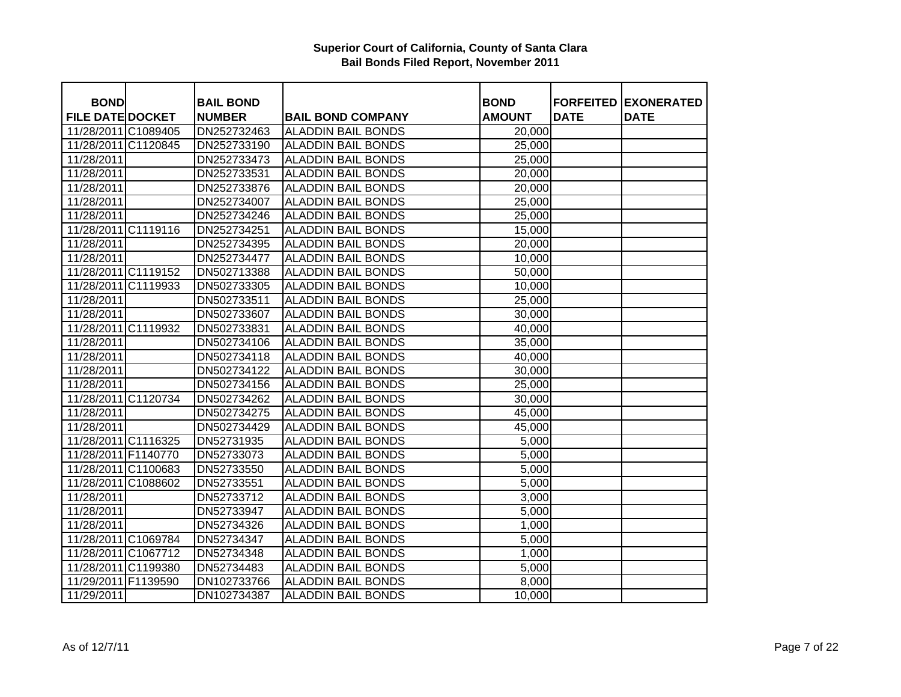| <b>BOND</b>             | <b>BAIL BOND</b> |                           | <b>BOND</b>   |             | <b>FORFEITED EXONERATED</b> |
|-------------------------|------------------|---------------------------|---------------|-------------|-----------------------------|
| <b>FILE DATE DOCKET</b> | <b>NUMBER</b>    | <b>BAIL BOND COMPANY</b>  | <b>AMOUNT</b> | <b>DATE</b> | <b>DATE</b>                 |
| 11/28/2011 C1089405     | DN252732463      | <b>ALADDIN BAIL BONDS</b> | 20,000        |             |                             |
| 11/28/2011 C1120845     | DN252733190      | <b>ALADDIN BAIL BONDS</b> | 25,000        |             |                             |
| 11/28/2011              | DN252733473      | <b>ALADDIN BAIL BONDS</b> | 25,000        |             |                             |
| 11/28/2011              | DN252733531      | <b>ALADDIN BAIL BONDS</b> | 20,000        |             |                             |
| 11/28/2011              | DN252733876      | <b>ALADDIN BAIL BONDS</b> | 20,000        |             |                             |
| 11/28/2011              | DN252734007      | <b>ALADDIN BAIL BONDS</b> | 25,000        |             |                             |
| 11/28/2011              | DN252734246      | <b>ALADDIN BAIL BONDS</b> | 25,000        |             |                             |
| 11/28/2011 C1119116     | DN252734251      | <b>ALADDIN BAIL BONDS</b> | 15,000        |             |                             |
| 11/28/2011              | DN252734395      | <b>ALADDIN BAIL BONDS</b> | 20,000        |             |                             |
| 11/28/2011              | DN252734477      | <b>ALADDIN BAIL BONDS</b> | 10,000        |             |                             |
| 11/28/2011 C1119152     | DN502713388      | <b>ALADDIN BAIL BONDS</b> | 50,000        |             |                             |
| 11/28/2011 C1119933     | DN502733305      | <b>ALADDIN BAIL BONDS</b> | 10,000        |             |                             |
| 11/28/2011              | DN502733511      | <b>ALADDIN BAIL BONDS</b> | 25,000        |             |                             |
| 11/28/2011              | DN502733607      | <b>ALADDIN BAIL BONDS</b> | 30,000        |             |                             |
| 11/28/2011 C1119932     | DN502733831      | <b>ALADDIN BAIL BONDS</b> | 40,000        |             |                             |
| 11/28/2011              | DN502734106      | <b>ALADDIN BAIL BONDS</b> | 35,000        |             |                             |
| 11/28/2011              | DN502734118      | <b>ALADDIN BAIL BONDS</b> | 40,000        |             |                             |
| 11/28/2011              | DN502734122      | <b>ALADDIN BAIL BONDS</b> | 30,000        |             |                             |
| 11/28/2011              | DN502734156      | <b>ALADDIN BAIL BONDS</b> | 25,000        |             |                             |
| 11/28/2011 C1120734     | DN502734262      | <b>ALADDIN BAIL BONDS</b> | 30,000        |             |                             |
| 11/28/2011              | DN502734275      | <b>ALADDIN BAIL BONDS</b> | 45,000        |             |                             |
| 11/28/2011              | DN502734429      | <b>ALADDIN BAIL BONDS</b> | 45,000        |             |                             |
| 11/28/2011 C1116325     | DN52731935       | <b>ALADDIN BAIL BONDS</b> | 5,000         |             |                             |
| 11/28/2011 F1140770     | DN52733073       | <b>ALADDIN BAIL BONDS</b> | 5,000         |             |                             |
| 11/28/2011 C1100683     | DN52733550       | <b>ALADDIN BAIL BONDS</b> | 5,000         |             |                             |
| 11/28/2011 C1088602     | DN52733551       | <b>ALADDIN BAIL BONDS</b> | 5,000         |             |                             |
| 11/28/2011              | DN52733712       | <b>ALADDIN BAIL BONDS</b> | 3,000         |             |                             |
| 11/28/2011              | DN52733947       | <b>ALADDIN BAIL BONDS</b> | 5,000         |             |                             |
| 11/28/2011              | DN52734326       | <b>ALADDIN BAIL BONDS</b> | 1,000         |             |                             |
| 11/28/2011 C1069784     | DN52734347       | <b>ALADDIN BAIL BONDS</b> | 5,000         |             |                             |
| 11/28/2011 C1067712     | DN52734348       | <b>ALADDIN BAIL BONDS</b> | 1,000         |             |                             |
| 11/28/2011 C1199380     | DN52734483       | <b>ALADDIN BAIL BONDS</b> | 5,000         |             |                             |
| 11/29/2011 F1139590     | DN102733766      | <b>ALADDIN BAIL BONDS</b> | 8,000         |             |                             |
| 11/29/2011              | DN102734387      | <b>ALADDIN BAIL BONDS</b> | 10,000        |             |                             |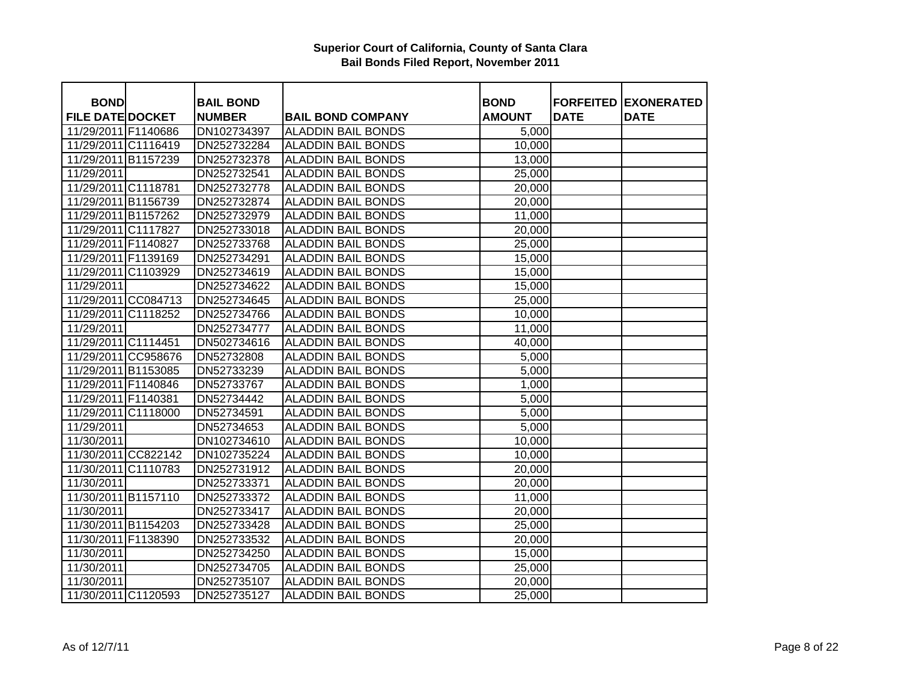| <b>BOND</b>             | <b>BAIL BOND</b> |                           | <b>BOND</b>   | <b>FORFEITED</b> | <b>EXONERATED</b> |
|-------------------------|------------------|---------------------------|---------------|------------------|-------------------|
| <b>FILE DATE DOCKET</b> | <b>NUMBER</b>    | <b>BAIL BOND COMPANY</b>  | <b>AMOUNT</b> | <b>DATE</b>      | <b>DATE</b>       |
| 11/29/2011 F1140686     | DN102734397      | <b>ALADDIN BAIL BONDS</b> | 5,000         |                  |                   |
| 11/29/2011 C1116419     | DN252732284      | <b>ALADDIN BAIL BONDS</b> | 10,000        |                  |                   |
| 11/29/2011 B1157239     | DN252732378      | <b>ALADDIN BAIL BONDS</b> | 13,000        |                  |                   |
| 11/29/2011              | DN252732541      | <b>ALADDIN BAIL BONDS</b> | 25,000        |                  |                   |
| 11/29/2011 C1118781     | DN252732778      | <b>ALADDIN BAIL BONDS</b> | 20,000        |                  |                   |
| 11/29/2011 B1156739     | DN252732874      | <b>ALADDIN BAIL BONDS</b> | 20,000        |                  |                   |
| 11/29/2011 B1157262     | DN252732979      | <b>ALADDIN BAIL BONDS</b> | 11,000        |                  |                   |
| 11/29/2011 C1117827     | DN252733018      | <b>ALADDIN BAIL BONDS</b> | 20,000        |                  |                   |
| 11/29/2011 F1140827     | DN252733768      | <b>ALADDIN BAIL BONDS</b> | 25,000        |                  |                   |
| 11/29/2011 F1139169     | DN252734291      | <b>ALADDIN BAIL BONDS</b> | 15,000        |                  |                   |
| 11/29/2011 C1103929     | DN252734619      | <b>ALADDIN BAIL BONDS</b> | 15,000        |                  |                   |
| 11/29/2011              | DN252734622      | <b>ALADDIN BAIL BONDS</b> | 15,000        |                  |                   |
| 11/29/2011 CC084713     | DN252734645      | <b>ALADDIN BAIL BONDS</b> | 25,000        |                  |                   |
| 11/29/2011 C1118252     | DN252734766      | <b>ALADDIN BAIL BONDS</b> | 10,000        |                  |                   |
| 11/29/2011              | DN252734777      | <b>ALADDIN BAIL BONDS</b> | 11,000        |                  |                   |
| 11/29/2011 C1114451     | DN502734616      | <b>ALADDIN BAIL BONDS</b> | 40,000        |                  |                   |
| 11/29/2011 CC958676     | DN52732808       | <b>ALADDIN BAIL BONDS</b> | 5,000         |                  |                   |
| 11/29/2011 B1153085     | DN52733239       | <b>ALADDIN BAIL BONDS</b> | 5,000         |                  |                   |
| 11/29/2011 F1140846     | DN52733767       | <b>ALADDIN BAIL BONDS</b> | 1,000         |                  |                   |
| 11/29/2011 F1140381     | DN52734442       | <b>ALADDIN BAIL BONDS</b> | 5,000         |                  |                   |
| 11/29/2011 C1118000     | DN52734591       | <b>ALADDIN BAIL BONDS</b> | 5,000         |                  |                   |
| 11/29/2011              | DN52734653       | <b>ALADDIN BAIL BONDS</b> | 5,000         |                  |                   |
| 11/30/2011              | DN102734610      | <b>ALADDIN BAIL BONDS</b> | 10,000        |                  |                   |
| 11/30/2011 CC822142     | DN102735224      | <b>ALADDIN BAIL BONDS</b> | 10,000        |                  |                   |
| 11/30/2011 C1110783     | DN252731912      | <b>ALADDIN BAIL BONDS</b> | 20,000        |                  |                   |
| 11/30/2011              | DN252733371      | <b>ALADDIN BAIL BONDS</b> | 20,000        |                  |                   |
| 11/30/2011 B1157110     | DN252733372      | <b>ALADDIN BAIL BONDS</b> | 11,000        |                  |                   |
| 11/30/2011              | DN252733417      | <b>ALADDIN BAIL BONDS</b> | 20,000        |                  |                   |
| 11/30/2011 B1154203     | DN252733428      | <b>ALADDIN BAIL BONDS</b> | 25,000        |                  |                   |
| 11/30/2011 F1138390     | DN252733532      | <b>ALADDIN BAIL BONDS</b> | 20,000        |                  |                   |
| 11/30/2011              | DN252734250      | <b>ALADDIN BAIL BONDS</b> | 15,000        |                  |                   |
| 11/30/2011              | DN252734705      | <b>ALADDIN BAIL BONDS</b> | 25,000        |                  |                   |
| 11/30/2011              | DN252735107      | <b>ALADDIN BAIL BONDS</b> | 20,000        |                  |                   |
| 11/30/2011 C1120593     | DN252735127      | <b>ALADDIN BAIL BONDS</b> | 25,000        |                  |                   |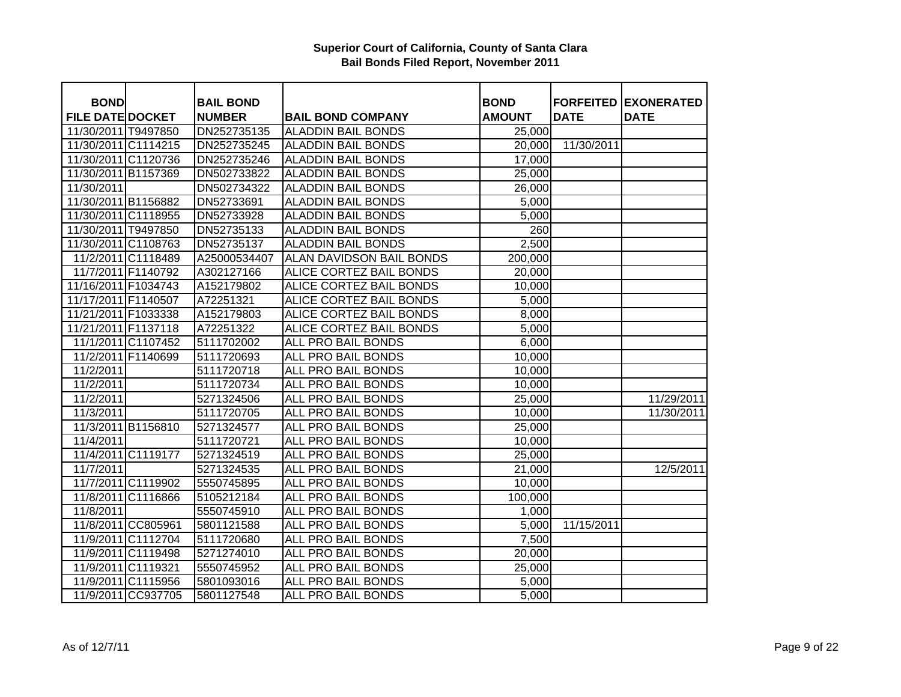| <b>BOND</b>             |                    | <b>BAIL BOND</b> |                           | <b>BOND</b>   |             | <b>FORFEITED EXONERATED</b> |
|-------------------------|--------------------|------------------|---------------------------|---------------|-------------|-----------------------------|
| <b>FILE DATE DOCKET</b> |                    | <b>NUMBER</b>    | <b>BAIL BOND COMPANY</b>  | <b>AMOUNT</b> | <b>DATE</b> | <b>DATE</b>                 |
| 11/30/2011 T9497850     |                    | DN252735135      | <b>ALADDIN BAIL BONDS</b> | 25,000        |             |                             |
| 11/30/2011 C1114215     |                    | DN252735245      | <b>ALADDIN BAIL BONDS</b> | 20,000        | 11/30/2011  |                             |
| 11/30/2011 C1120736     |                    | DN252735246      | <b>ALADDIN BAIL BONDS</b> | 17,000        |             |                             |
| 11/30/2011 B1157369     |                    | DN502733822      | <b>ALADDIN BAIL BONDS</b> | 25,000        |             |                             |
| 11/30/2011              |                    | DN502734322      | <b>ALADDIN BAIL BONDS</b> | 26,000        |             |                             |
| 11/30/2011 B1156882     |                    | DN52733691       | <b>ALADDIN BAIL BONDS</b> | 5,000         |             |                             |
| 11/30/2011 C1118955     |                    | DN52733928       | <b>ALADDIN BAIL BONDS</b> | 5,000         |             |                             |
| 11/30/2011 T9497850     |                    | DN52735133       | <b>ALADDIN BAIL BONDS</b> | 260           |             |                             |
| 11/30/2011 C1108763     |                    | DN52735137       | <b>ALADDIN BAIL BONDS</b> | 2,500         |             |                             |
|                         | 11/2/2011 C1118489 | A25000534407     | ALAN DAVIDSON BAIL BONDS  | 200,000       |             |                             |
| 11/7/2011 F1140792      |                    | A302127166       | ALICE CORTEZ BAIL BONDS   | 20,000        |             |                             |
| 11/16/2011 F1034743     |                    | A152179802       | ALICE CORTEZ BAIL BONDS   | 10,000        |             |                             |
| 11/17/2011 F1140507     |                    | A72251321        | ALICE CORTEZ BAIL BONDS   | 5,000         |             |                             |
| 11/21/2011 F1033338     |                    | A152179803       | ALICE CORTEZ BAIL BONDS   | 8,000         |             |                             |
| 11/21/2011 F1137118     |                    | A72251322        | ALICE CORTEZ BAIL BONDS   | 5,000         |             |                             |
|                         | 11/1/2011 C1107452 | 5111702002       | ALL PRO BAIL BONDS        | 6,000         |             |                             |
| 11/2/2011 F1140699      |                    | 5111720693       | ALL PRO BAIL BONDS        | 10,000        |             |                             |
| 11/2/2011               |                    | 5111720718       | ALL PRO BAIL BONDS        | 10,000        |             |                             |
| 11/2/2011               |                    | 5111720734       | ALL PRO BAIL BONDS        | 10,000        |             |                             |
| 11/2/2011               |                    | 5271324506       | ALL PRO BAIL BONDS        | 25,000        |             | 11/29/2011                  |
| 11/3/2011               |                    | 5111720705       | ALL PRO BAIL BONDS        | 10,000        |             | 11/30/2011                  |
|                         | 11/3/2011 B1156810 | 5271324577       | ALL PRO BAIL BONDS        | 25,000        |             |                             |
| 11/4/2011               |                    | 5111720721       | ALL PRO BAIL BONDS        | 10,000        |             |                             |
|                         | 11/4/2011 C1119177 | 5271324519       | ALL PRO BAIL BONDS        | 25,000        |             |                             |
| 11/7/2011               |                    | 5271324535       | ALL PRO BAIL BONDS        | 21,000        |             | 12/5/2011                   |
|                         | 11/7/2011 C1119902 | 5550745895       | <b>ALL PRO BAIL BONDS</b> | 10,000        |             |                             |
|                         | 11/8/2011 C1116866 | 5105212184       | <b>ALL PRO BAIL BONDS</b> | 100,000       |             |                             |
| 11/8/2011               |                    | 5550745910       | <b>ALL PRO BAIL BONDS</b> | 1,000         |             |                             |
|                         | 11/8/2011 CC805961 | 5801121588       | <b>ALL PRO BAIL BONDS</b> | 5,000         | 11/15/2011  |                             |
|                         | 11/9/2011 C1112704 | 5111720680       | ALL PRO BAIL BONDS        | 7,500         |             |                             |
|                         | 11/9/2011 C1119498 | 5271274010       | ALL PRO BAIL BONDS        | 20,000        |             |                             |
| 11/9/2011 C1119321      |                    | 5550745952       | <b>ALL PRO BAIL BONDS</b> | 25,000        |             |                             |
|                         | 11/9/2011 C1115956 | 5801093016       | ALL PRO BAIL BONDS        | 5,000         |             |                             |
|                         | 11/9/2011 CC937705 | 5801127548       | ALL PRO BAIL BONDS        | 5,000         |             |                             |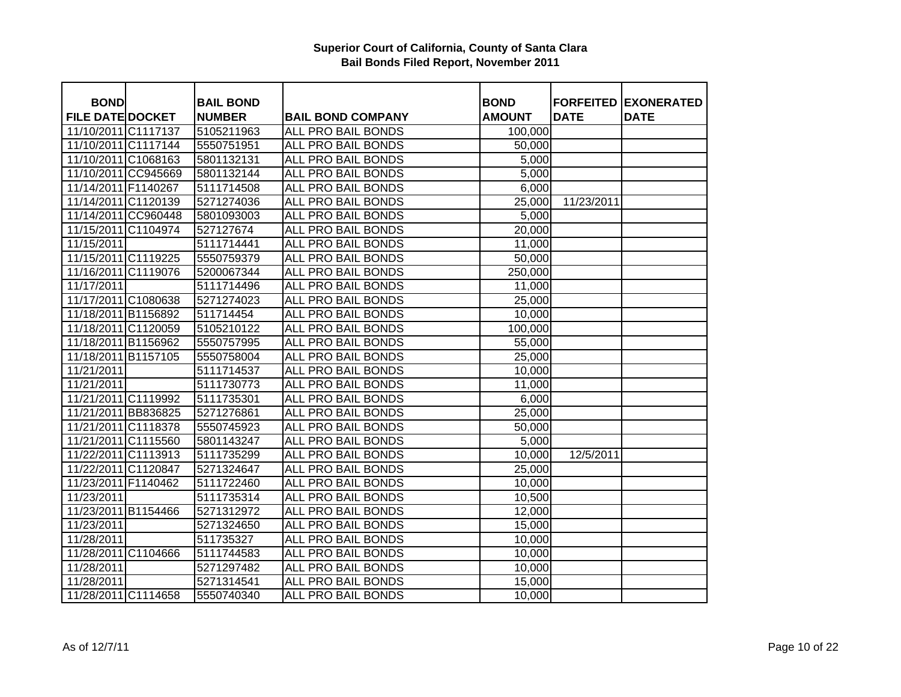| <b>BOND</b>             | <b>BAIL BOND</b> |                           | <b>BOND</b>   | <b>FORFEITED</b> | <b>EXONERATED</b> |
|-------------------------|------------------|---------------------------|---------------|------------------|-------------------|
| <b>FILE DATE DOCKET</b> | <b>NUMBER</b>    | <b>BAIL BOND COMPANY</b>  | <b>AMOUNT</b> | <b>DATE</b>      | <b>DATE</b>       |
| 11/10/2011 C1117137     | 5105211963       | <b>ALL PRO BAIL BONDS</b> | 100,000       |                  |                   |
| 11/10/2011 C1117144     | 5550751951       | <b>ALL PRO BAIL BONDS</b> | 50,000        |                  |                   |
| 11/10/2011 C1068163     | 5801132131       | <b>ALL PRO BAIL BONDS</b> | 5,000         |                  |                   |
| 11/10/2011 CC945669     | 5801132144       | <b>ALL PRO BAIL BONDS</b> | 5,000         |                  |                   |
| 11/14/2011 F1140267     | 5111714508       | <b>ALL PRO BAIL BONDS</b> | 6,000         |                  |                   |
| 11/14/2011 C1120139     | 5271274036       | ALL PRO BAIL BONDS        | 25,000        | 11/23/2011       |                   |
| 11/14/2011 CC960448     | 5801093003       | ALL PRO BAIL BONDS        | 5,000         |                  |                   |
| 11/15/2011 C1104974     | 527127674        | ALL PRO BAIL BONDS        | 20,000        |                  |                   |
| 11/15/2011              | 5111714441       | ALL PRO BAIL BONDS        | 11,000        |                  |                   |
| 11/15/2011 C1119225     | 5550759379       | ALL PRO BAIL BONDS        | 50,000        |                  |                   |
| 11/16/2011 C1119076     | 5200067344       | ALL PRO BAIL BONDS        | 250,000       |                  |                   |
| 11/17/2011              | 5111714496       | ALL PRO BAIL BONDS        | 11,000        |                  |                   |
| 11/17/2011 C1080638     | 5271274023       | ALL PRO BAIL BONDS        | 25,000        |                  |                   |
| 11/18/2011 B1156892     | 511714454        | ALL PRO BAIL BONDS        | 10,000        |                  |                   |
| 11/18/2011 C1120059     | 5105210122       | ALL PRO BAIL BONDS        | 100,000       |                  |                   |
| 11/18/2011 B1156962     | 5550757995       | ALL PRO BAIL BONDS        | 55,000        |                  |                   |
| 11/18/2011 B1157105     | 5550758004       | ALL PRO BAIL BONDS        | 25,000        |                  |                   |
| 11/21/2011              | 5111714537       | ALL PRO BAIL BONDS        | 10,000        |                  |                   |
| 11/21/2011              | 5111730773       | ALL PRO BAIL BONDS        | 11,000        |                  |                   |
| 11/21/2011 C1119992     | 5111735301       | ALL PRO BAIL BONDS        | 6,000         |                  |                   |
| 11/21/2011 BB836825     | 5271276861       | ALL PRO BAIL BONDS        | 25,000        |                  |                   |
| 11/21/2011 C1118378     | 5550745923       | ALL PRO BAIL BONDS        | 50,000        |                  |                   |
| 11/21/2011 C1115560     | 5801143247       | ALL PRO BAIL BONDS        | 5,000         |                  |                   |
| 11/22/2011 C1113913     | 5111735299       | ALL PRO BAIL BONDS        | 10,000        | 12/5/2011        |                   |
| 11/22/2011 C1120847     | 5271324647       | ALL PRO BAIL BONDS        | 25,000        |                  |                   |
| 11/23/2011 F1140462     | 5111722460       | <b>ALL PRO BAIL BONDS</b> | 10,000        |                  |                   |
| 11/23/2011              | 5111735314       | <b>ALL PRO BAIL BONDS</b> | 10,500        |                  |                   |
| 11/23/2011 B1154466     | 5271312972       | <b>ALL PRO BAIL BONDS</b> | 12,000        |                  |                   |
| 11/23/2011              | 5271324650       | <b>ALL PRO BAIL BONDS</b> | 15,000        |                  |                   |
| 11/28/2011              | 511735327        | ALL PRO BAIL BONDS        | 10,000        |                  |                   |
| 11/28/2011 C1104666     | 5111744583       | ALL PRO BAIL BONDS        | 10,000        |                  |                   |
| 11/28/2011              | 5271297482       | <b>ALL PRO BAIL BONDS</b> | 10,000        |                  |                   |
| 11/28/2011              | 5271314541       | ALL PRO BAIL BONDS        | 15,000        |                  |                   |
| 11/28/2011 C1114658     | 5550740340       | ALL PRO BAIL BONDS        | 10,000        |                  |                   |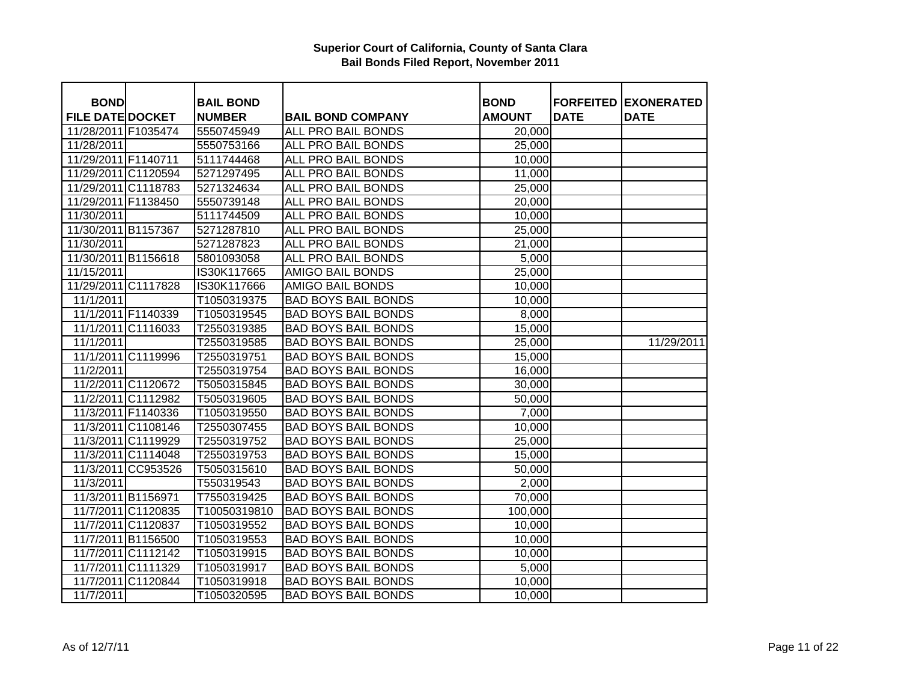| <b>BOND</b>             |                    | <b>BAIL BOND</b> |                            | <b>BOND</b>   |             | <b>FORFEITED EXONERATED</b> |
|-------------------------|--------------------|------------------|----------------------------|---------------|-------------|-----------------------------|
| <b>FILE DATE DOCKET</b> |                    | <b>NUMBER</b>    | <b>BAIL BOND COMPANY</b>   | <b>AMOUNT</b> | <b>DATE</b> | <b>DATE</b>                 |
| 11/28/2011 F1035474     |                    | 5550745949       | ALL PRO BAIL BONDS         | 20,000        |             |                             |
| 11/28/2011              |                    | 5550753166       | <b>ALL PRO BAIL BONDS</b>  | 25,000        |             |                             |
| 11/29/2011 F1140711     |                    | 5111744468       | <b>ALL PRO BAIL BONDS</b>  | 10,000        |             |                             |
| 11/29/2011 C1120594     |                    | 5271297495       | <b>ALL PRO BAIL BONDS</b>  | 11,000        |             |                             |
| 11/29/2011 C1118783     |                    | 5271324634       | <b>ALL PRO BAIL BONDS</b>  | 25,000        |             |                             |
| 11/29/2011 F1138450     |                    | 5550739148       | ALL PRO BAIL BONDS         | 20,000        |             |                             |
| 11/30/2011              |                    | 5111744509       | ALL PRO BAIL BONDS         | 10,000        |             |                             |
| 11/30/2011 B1157367     |                    | 5271287810       | ALL PRO BAIL BONDS         | 25,000        |             |                             |
| 11/30/2011              |                    | 5271287823       | ALL PRO BAIL BONDS         | 21,000        |             |                             |
| 11/30/2011 B1156618     |                    | 5801093058       | ALL PRO BAIL BONDS         | 5,000         |             |                             |
| 11/15/2011              |                    | IS30K117665      | <b>AMIGO BAIL BONDS</b>    | 25,000        |             |                             |
| 11/29/2011 C1117828     |                    | IS30K117666      | <b>AMIGO BAIL BONDS</b>    | 10,000        |             |                             |
| 11/1/2011               |                    | T1050319375      | <b>BAD BOYS BAIL BONDS</b> | 10,000        |             |                             |
|                         | 11/1/2011 F1140339 | T1050319545      | <b>BAD BOYS BAIL BONDS</b> | 8,000         |             |                             |
|                         | 11/1/2011 C1116033 | T2550319385      | <b>BAD BOYS BAIL BONDS</b> | 15,000        |             |                             |
| 11/1/2011               |                    | T2550319585      | <b>BAD BOYS BAIL BONDS</b> | 25,000        |             | 11/29/2011                  |
|                         | 11/1/2011 C1119996 | T2550319751      | <b>BAD BOYS BAIL BONDS</b> | 15,000        |             |                             |
| 11/2/2011               |                    | T2550319754      | <b>BAD BOYS BAIL BONDS</b> | 16,000        |             |                             |
|                         | 11/2/2011 C1120672 | T5050315845      | <b>BAD BOYS BAIL BONDS</b> | 30,000        |             |                             |
|                         | 11/2/2011 C1112982 | T5050319605      | <b>BAD BOYS BAIL BONDS</b> | 50,000        |             |                             |
|                         | 11/3/2011 F1140336 | T1050319550      | <b>BAD BOYS BAIL BONDS</b> | 7,000         |             |                             |
|                         | 11/3/2011 C1108146 | T2550307455      | <b>BAD BOYS BAIL BONDS</b> | 10,000        |             |                             |
|                         | 11/3/2011 C1119929 | T2550319752      | <b>BAD BOYS BAIL BONDS</b> | 25,000        |             |                             |
|                         | 11/3/2011 C1114048 | T2550319753      | <b>BAD BOYS BAIL BONDS</b> | 15,000        |             |                             |
|                         | 11/3/2011 CC953526 | T5050315610      | <b>BAD BOYS BAIL BONDS</b> | 50,000        |             |                             |
| 11/3/2011               |                    | T550319543       | <b>BAD BOYS BAIL BONDS</b> | 2,000         |             |                             |
| 11/3/2011 B1156971      |                    | T7550319425      | <b>BAD BOYS BAIL BONDS</b> | 70,000        |             |                             |
|                         | 11/7/2011 C1120835 | T10050319810     | <b>BAD BOYS BAIL BONDS</b> | 100,000       |             |                             |
|                         | 11/7/2011 C1120837 | T1050319552      | <b>BAD BOYS BAIL BONDS</b> | 10,000        |             |                             |
|                         | 11/7/2011 B1156500 | T1050319553      | <b>BAD BOYS BAIL BONDS</b> | 10,000        |             |                             |
|                         | 11/7/2011 C1112142 | T1050319915      | <b>BAD BOYS BAIL BONDS</b> | 10,000        |             |                             |
|                         | 11/7/2011 C1111329 | T1050319917      | <b>BAD BOYS BAIL BONDS</b> | 5,000         |             |                             |
|                         | 11/7/2011 C1120844 | T1050319918      | <b>BAD BOYS BAIL BONDS</b> | 10,000        |             |                             |
| 11/7/2011               |                    | T1050320595      | <b>BAD BOYS BAIL BONDS</b> | 10,000        |             |                             |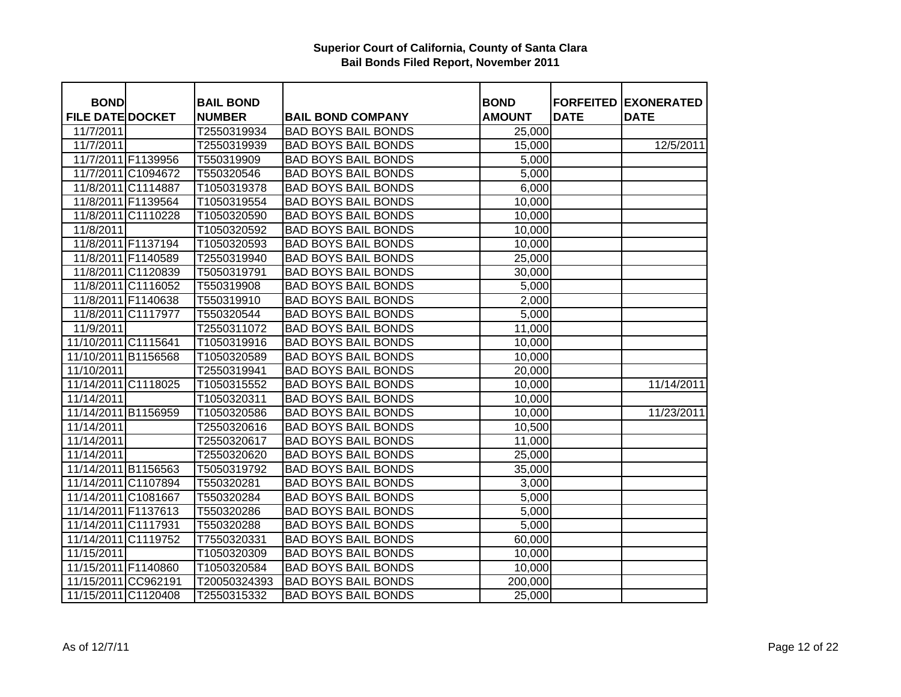| <b>BOND</b>             |                    | <b>BAIL BOND</b> |                            | <b>BOND</b>   |             | <b>FORFEITED EXONERATED</b> |
|-------------------------|--------------------|------------------|----------------------------|---------------|-------------|-----------------------------|
| <b>FILE DATE DOCKET</b> |                    | <b>NUMBER</b>    | <b>BAIL BOND COMPANY</b>   | <b>AMOUNT</b> | <b>DATE</b> | <b>DATE</b>                 |
| 11/7/2011               |                    | T2550319934      | <b>BAD BOYS BAIL BONDS</b> | 25,000        |             |                             |
| 11/7/2011               |                    | T2550319939      | <b>BAD BOYS BAIL BONDS</b> | 15,000        |             | 12/5/2011                   |
| 11/7/2011 F1139956      |                    | T550319909       | <b>BAD BOYS BAIL BONDS</b> | 5,000         |             |                             |
| 11/7/2011 C1094672      |                    | T550320546       | <b>BAD BOYS BAIL BONDS</b> | 5,000         |             |                             |
| 11/8/2011 C1114887      |                    | T1050319378      | <b>BAD BOYS BAIL BONDS</b> | 6,000         |             |                             |
| 11/8/2011 F1139564      |                    | T1050319554      | <b>BAD BOYS BAIL BONDS</b> | 10,000        |             |                             |
|                         | 11/8/2011 C1110228 | T1050320590      | <b>BAD BOYS BAIL BONDS</b> | 10,000        |             |                             |
| 11/8/2011               |                    | T1050320592      | <b>BAD BOYS BAIL BONDS</b> | 10,000        |             |                             |
| 11/8/2011 F1137194      |                    | T1050320593      | <b>BAD BOYS BAIL BONDS</b> | 10,000        |             |                             |
| 11/8/2011 F1140589      |                    | T2550319940      | <b>BAD BOYS BAIL BONDS</b> | 25,000        |             |                             |
|                         | 11/8/2011 C1120839 | T5050319791      | <b>BAD BOYS BAIL BONDS</b> | 30,000        |             |                             |
|                         | 11/8/2011 C1116052 | T550319908       | <b>BAD BOYS BAIL BONDS</b> | 5,000         |             |                             |
| 11/8/2011 F1140638      |                    | T550319910       | <b>BAD BOYS BAIL BONDS</b> | 2,000         |             |                             |
| 11/8/2011 C1117977      |                    | T550320544       | <b>BAD BOYS BAIL BONDS</b> | 5,000         |             |                             |
| 11/9/2011               |                    | T2550311072      | <b>BAD BOYS BAIL BONDS</b> | 11,000        |             |                             |
| 11/10/2011 C1115641     |                    | T1050319916      | <b>BAD BOYS BAIL BONDS</b> | 10,000        |             |                             |
| 11/10/2011 B1156568     |                    | T1050320589      | <b>BAD BOYS BAIL BONDS</b> | 10,000        |             |                             |
| 11/10/2011              |                    | T2550319941      | <b>BAD BOYS BAIL BONDS</b> | 20,000        |             |                             |
| 11/14/2011 C1118025     |                    | T1050315552      | <b>BAD BOYS BAIL BONDS</b> | 10,000        |             | 11/14/2011                  |
| 11/14/2011              |                    | T1050320311      | <b>BAD BOYS BAIL BONDS</b> | 10,000        |             |                             |
| 11/14/2011 B1156959     |                    | T1050320586      | <b>BAD BOYS BAIL BONDS</b> | 10,000        |             | 11/23/2011                  |
| 11/14/2011              |                    | T2550320616      | <b>BAD BOYS BAIL BONDS</b> | 10,500        |             |                             |
| 11/14/2011              |                    | T2550320617      | <b>BAD BOYS BAIL BONDS</b> | 11,000        |             |                             |
| 11/14/2011              |                    | T2550320620      | <b>BAD BOYS BAIL BONDS</b> | 25,000        |             |                             |
| 11/14/2011 B1156563     |                    | T5050319792      | <b>BAD BOYS BAIL BONDS</b> | 35,000        |             |                             |
| 11/14/2011 C1107894     |                    | T550320281       | <b>BAD BOYS BAIL BONDS</b> | 3,000         |             |                             |
| 11/14/2011 C1081667     |                    | T550320284       | <b>BAD BOYS BAIL BONDS</b> | 5,000         |             |                             |
| 11/14/2011 F1137613     |                    | T550320286       | <b>BAD BOYS BAIL BONDS</b> | 5,000         |             |                             |
| 11/14/2011 C1117931     |                    | T550320288       | <b>BAD BOYS BAIL BONDS</b> | 5,000         |             |                             |
| 11/14/2011 C1119752     |                    | T7550320331      | <b>BAD BOYS BAIL BONDS</b> | 60,000        |             |                             |
| 11/15/2011              |                    | T1050320309      | <b>BAD BOYS BAIL BONDS</b> | 10,000        |             |                             |
| 11/15/2011 F1140860     |                    | T1050320584      | <b>BAD BOYS BAIL BONDS</b> | 10,000        |             |                             |
| 11/15/2011 CC962191     |                    | T20050324393     | <b>BAD BOYS BAIL BONDS</b> | 200,000       |             |                             |
| 11/15/2011 C1120408     |                    | T2550315332      | <b>BAD BOYS BAIL BONDS</b> | 25,000        |             |                             |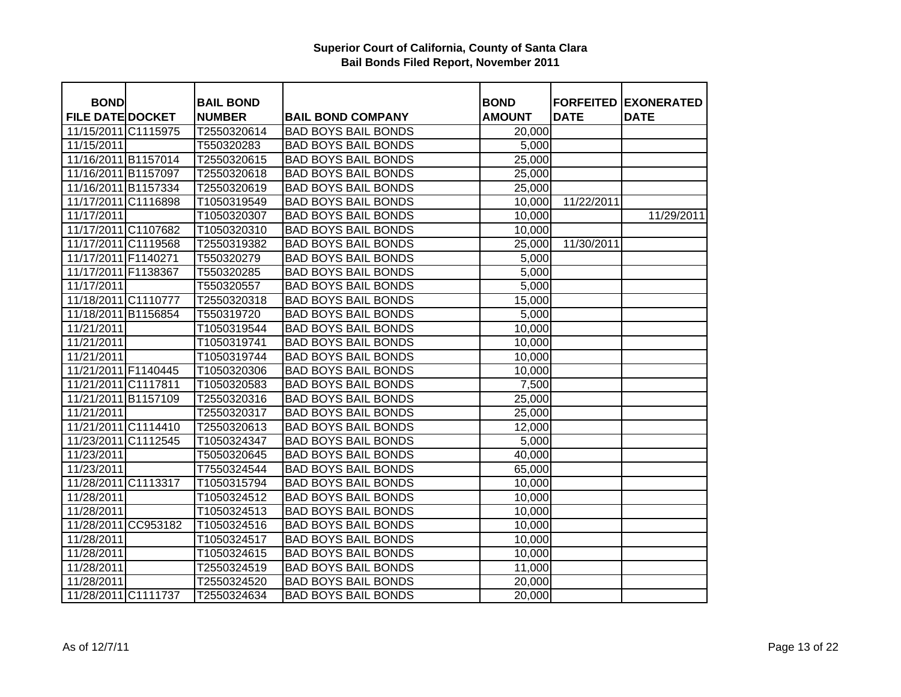| <b>BOND</b>             | <b>BAIL BOND</b> |                            | <b>BOND</b>   |             | <b>FORFEITED EXONERATED</b> |
|-------------------------|------------------|----------------------------|---------------|-------------|-----------------------------|
| <b>FILE DATE DOCKET</b> | <b>NUMBER</b>    | <b>BAIL BOND COMPANY</b>   | <b>AMOUNT</b> | <b>DATE</b> | <b>DATE</b>                 |
| 11/15/2011 C1115975     | T2550320614      | <b>BAD BOYS BAIL BONDS</b> | 20,000        |             |                             |
| 11/15/2011              | T550320283       | <b>BAD BOYS BAIL BONDS</b> | 5,000         |             |                             |
| 11/16/2011 B1157014     | T2550320615      | <b>BAD BOYS BAIL BONDS</b> | 25,000        |             |                             |
| 11/16/2011 B1157097     | T2550320618      | <b>BAD BOYS BAIL BONDS</b> | 25,000        |             |                             |
| 11/16/2011 B1157334     | T2550320619      | <b>BAD BOYS BAIL BONDS</b> | 25,000        |             |                             |
| 11/17/2011 C1116898     | T1050319549      | <b>BAD BOYS BAIL BONDS</b> | 10,000        | 11/22/2011  |                             |
| 11/17/2011              | T1050320307      | <b>BAD BOYS BAIL BONDS</b> | 10,000        |             | 11/29/2011                  |
| 11/17/2011 C1107682     | T1050320310      | <b>BAD BOYS BAIL BONDS</b> | 10,000        |             |                             |
| 11/17/2011 C1119568     | T2550319382      | <b>BAD BOYS BAIL BONDS</b> | 25,000        | 11/30/2011  |                             |
| 11/17/2011 F1140271     | T550320279       | <b>BAD BOYS BAIL BONDS</b> | 5,000         |             |                             |
| 11/17/2011 F1138367     | T550320285       | <b>BAD BOYS BAIL BONDS</b> | 5,000         |             |                             |
| 11/17/2011              | T550320557       | <b>BAD BOYS BAIL BONDS</b> | 5,000         |             |                             |
| 11/18/2011 C1110777     | T2550320318      | <b>BAD BOYS BAIL BONDS</b> | 15,000        |             |                             |
| 11/18/2011 B1156854     | T550319720       | <b>BAD BOYS BAIL BONDS</b> | 5,000         |             |                             |
| 11/21/2011              | T1050319544      | <b>BAD BOYS BAIL BONDS</b> | 10,000        |             |                             |
| 11/21/2011              | T1050319741      | <b>BAD BOYS BAIL BONDS</b> | 10,000        |             |                             |
| 11/21/2011              | T1050319744      | <b>BAD BOYS BAIL BONDS</b> | 10,000        |             |                             |
| 11/21/2011 F1140445     | T1050320306      | <b>BAD BOYS BAIL BONDS</b> | 10,000        |             |                             |
| 11/21/2011 C1117811     | T1050320583      | <b>BAD BOYS BAIL BONDS</b> | 7,500         |             |                             |
| 11/21/2011 B1157109     | T2550320316      | <b>BAD BOYS BAIL BONDS</b> | 25,000        |             |                             |
| 11/21/2011              | T2550320317      | <b>BAD BOYS BAIL BONDS</b> | 25,000        |             |                             |
| 11/21/2011 C1114410     | T2550320613      | <b>BAD BOYS BAIL BONDS</b> | 12,000        |             |                             |
| 11/23/2011 C1112545     | T1050324347      | <b>BAD BOYS BAIL BONDS</b> | 5,000         |             |                             |
| 11/23/2011              | T5050320645      | <b>BAD BOYS BAIL BONDS</b> | 40,000        |             |                             |
| 11/23/2011              | T7550324544      | <b>BAD BOYS BAIL BONDS</b> | 65,000        |             |                             |
| 11/28/2011 C1113317     | T1050315794      | <b>BAD BOYS BAIL BONDS</b> | 10,000        |             |                             |
| 11/28/2011              | T1050324512      | <b>BAD BOYS BAIL BONDS</b> | 10,000        |             |                             |
| 11/28/2011              | T1050324513      | <b>BAD BOYS BAIL BONDS</b> | 10,000        |             |                             |
| 11/28/2011 CC953182     | T1050324516      | <b>BAD BOYS BAIL BONDS</b> | 10,000        |             |                             |
| 11/28/2011              | T1050324517      | <b>BAD BOYS BAIL BONDS</b> | 10,000        |             |                             |
| 11/28/2011              | T1050324615      | <b>BAD BOYS BAIL BONDS</b> | 10,000        |             |                             |
| 11/28/2011              | T2550324519      | <b>BAD BOYS BAIL BONDS</b> | 11,000        |             |                             |
| 11/28/2011              | T2550324520      | <b>BAD BOYS BAIL BONDS</b> | 20,000        |             |                             |
| 11/28/2011 C1111737     | T2550324634      | <b>BAD BOYS BAIL BONDS</b> | 20,000        |             |                             |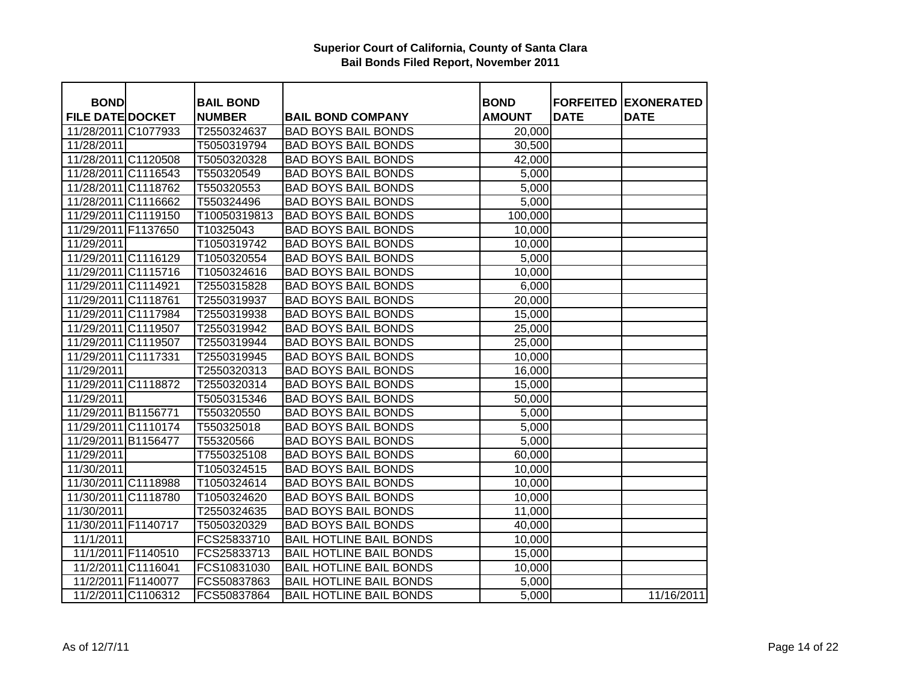| <b>BOND</b>             |                    | <b>BAIL BOND</b> |                                | <b>BOND</b>   |             | <b>FORFEITED EXONERATED</b> |
|-------------------------|--------------------|------------------|--------------------------------|---------------|-------------|-----------------------------|
| <b>FILE DATE DOCKET</b> |                    | <b>NUMBER</b>    | <b>BAIL BOND COMPANY</b>       | <b>AMOUNT</b> | <b>DATE</b> | <b>DATE</b>                 |
| 11/28/2011 C1077933     |                    | T2550324637      | <b>BAD BOYS BAIL BONDS</b>     | 20,000        |             |                             |
| 11/28/2011              |                    | T5050319794      | <b>BAD BOYS BAIL BONDS</b>     | 30,500        |             |                             |
| 11/28/2011 C1120508     |                    | T5050320328      | <b>BAD BOYS BAIL BONDS</b>     | 42,000        |             |                             |
| 11/28/2011 C1116543     |                    | T550320549       | <b>BAD BOYS BAIL BONDS</b>     | 5,000         |             |                             |
| 11/28/2011 C1118762     |                    | T550320553       | <b>BAD BOYS BAIL BONDS</b>     | 5,000         |             |                             |
| 11/28/2011 C1116662     |                    | T550324496       | <b>BAD BOYS BAIL BONDS</b>     | 5,000         |             |                             |
| 11/29/2011 C1119150     |                    | T10050319813     | <b>BAD BOYS BAIL BONDS</b>     | 100,000       |             |                             |
| 11/29/2011 F1137650     |                    | T10325043        | <b>BAD BOYS BAIL BONDS</b>     | 10,000        |             |                             |
| 11/29/2011              |                    | T1050319742      | <b>BAD BOYS BAIL BONDS</b>     | 10,000        |             |                             |
| 11/29/2011 C1116129     |                    | T1050320554      | <b>BAD BOYS BAIL BONDS</b>     | 5,000         |             |                             |
| 11/29/2011 C1115716     |                    | T1050324616      | <b>BAD BOYS BAIL BONDS</b>     | 10,000        |             |                             |
| 11/29/2011 C1114921     |                    | T2550315828      | <b>BAD BOYS BAIL BONDS</b>     | 6,000         |             |                             |
| 11/29/2011 C1118761     |                    | T2550319937      | <b>BAD BOYS BAIL BONDS</b>     | 20,000        |             |                             |
| 11/29/2011 C1117984     |                    | T2550319938      | <b>BAD BOYS BAIL BONDS</b>     | 15,000        |             |                             |
| 11/29/2011 C1119507     |                    | T2550319942      | <b>BAD BOYS BAIL BONDS</b>     | 25,000        |             |                             |
| 11/29/2011 C1119507     |                    | T2550319944      | <b>BAD BOYS BAIL BONDS</b>     | 25,000        |             |                             |
| 11/29/2011 C1117331     |                    | T2550319945      | <b>BAD BOYS BAIL BONDS</b>     | 10,000        |             |                             |
| 11/29/2011              |                    | T2550320313      | <b>BAD BOYS BAIL BONDS</b>     | 16,000        |             |                             |
| 11/29/2011 C1118872     |                    | T2550320314      | <b>BAD BOYS BAIL BONDS</b>     | 15,000        |             |                             |
| 11/29/2011              |                    | T5050315346      | <b>BAD BOYS BAIL BONDS</b>     | 50,000        |             |                             |
| 11/29/2011 B1156771     |                    | T550320550       | <b>BAD BOYS BAIL BONDS</b>     | 5,000         |             |                             |
| 11/29/2011 C1110174     |                    | T550325018       | <b>BAD BOYS BAIL BONDS</b>     | 5,000         |             |                             |
| 11/29/2011 B1156477     |                    | T55320566        | <b>BAD BOYS BAIL BONDS</b>     | 5,000         |             |                             |
| 11/29/2011              |                    | T7550325108      | <b>BAD BOYS BAIL BONDS</b>     | 60,000        |             |                             |
| 11/30/2011              |                    | T1050324515      | <b>BAD BOYS BAIL BONDS</b>     | 10,000        |             |                             |
| 11/30/2011 C1118988     |                    | T1050324614      | <b>BAD BOYS BAIL BONDS</b>     | 10,000        |             |                             |
| 11/30/2011 C1118780     |                    | T1050324620      | <b>BAD BOYS BAIL BONDS</b>     | 10,000        |             |                             |
| 11/30/2011              |                    | T2550324635      | <b>BAD BOYS BAIL BONDS</b>     | 11,000        |             |                             |
| 11/30/2011 F1140717     |                    | T5050320329      | <b>BAD BOYS BAIL BONDS</b>     | 40,000        |             |                             |
| 11/1/2011               |                    | FCS25833710      | <b>BAIL HOTLINE BAIL BONDS</b> | 10,000        |             |                             |
| 11/1/2011 F1140510      |                    | FCS25833713      | <b>BAIL HOTLINE BAIL BONDS</b> | 15,000        |             |                             |
|                         | 11/2/2011 C1116041 | FCS10831030      | <b>BAIL HOTLINE BAIL BONDS</b> | 10,000        |             |                             |
| 11/2/2011 F1140077      |                    | FCS50837863      | <b>BAIL HOTLINE BAIL BONDS</b> | 5,000         |             |                             |
|                         | 11/2/2011 C1106312 | FCS50837864      | <b>BAIL HOTLINE BAIL BONDS</b> | 5,000         |             | 11/16/2011                  |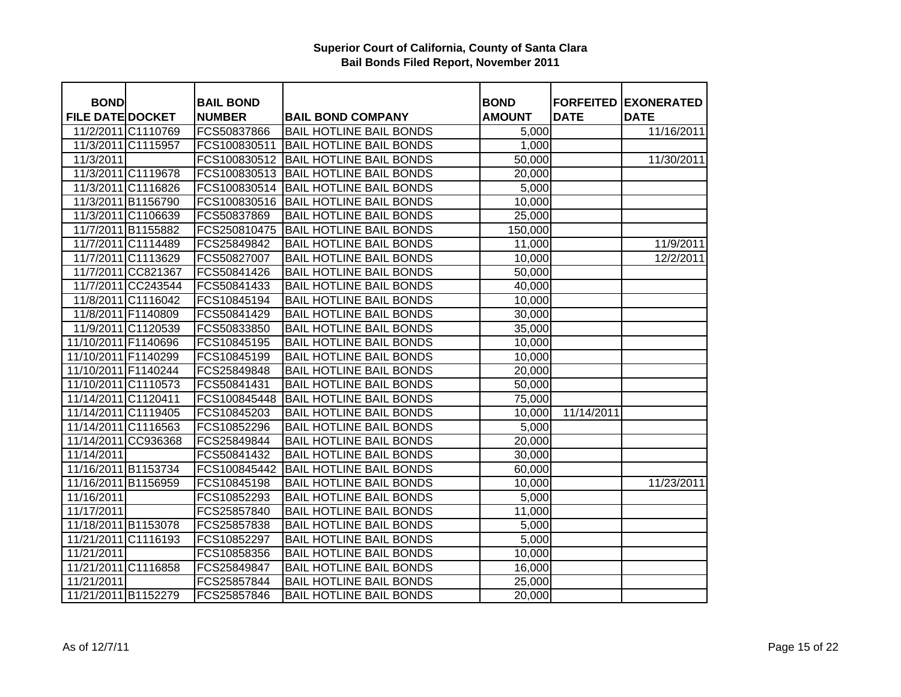| <b>BOND</b>             |                    | <b>BAIL BOND</b> |                                | <b>BOND</b>   |             | <b>FORFEITED EXONERATED</b> |
|-------------------------|--------------------|------------------|--------------------------------|---------------|-------------|-----------------------------|
| <b>FILE DATE DOCKET</b> |                    | <b>NUMBER</b>    | <b>BAIL BOND COMPANY</b>       | <b>AMOUNT</b> | <b>DATE</b> | <b>DATE</b>                 |
|                         | 11/2/2011 C1110769 | FCS50837866      | <b>BAIL HOTLINE BAIL BONDS</b> | 5,000         |             | 11/16/2011                  |
|                         | 11/3/2011 C1115957 | FCS100830511     | <b>BAIL HOTLINE BAIL BONDS</b> | 1,000         |             |                             |
| 11/3/2011               |                    | FCS100830512     | <b>BAIL HOTLINE BAIL BONDS</b> | 50,000        |             | 11/30/2011                  |
|                         | 11/3/2011 C1119678 | FCS100830513     | <b>BAIL HOTLINE BAIL BONDS</b> | 20,000        |             |                             |
|                         | 11/3/2011 C1116826 | FCS100830514     | <b>BAIL HOTLINE BAIL BONDS</b> | 5,000         |             |                             |
|                         | 11/3/2011 B1156790 | FCS100830516     | <b>BAIL HOTLINE BAIL BONDS</b> | 10,000        |             |                             |
|                         | 11/3/2011 C1106639 | FCS50837869      | <b>BAIL HOTLINE BAIL BONDS</b> | 25,000        |             |                             |
|                         | 11/7/2011 B1155882 | FCS250810475     | <b>BAIL HOTLINE BAIL BONDS</b> | 150,000       |             |                             |
|                         | 11/7/2011 C1114489 | FCS25849842      | <b>BAIL HOTLINE BAIL BONDS</b> | 11,000        |             | 11/9/2011                   |
|                         | 11/7/2011 C1113629 | FCS50827007      | <b>BAIL HOTLINE BAIL BONDS</b> | 10,000        |             | 12/2/2011                   |
|                         | 11/7/2011 CC821367 | FCS50841426      | <b>BAIL HOTLINE BAIL BONDS</b> | 50,000        |             |                             |
|                         | 11/7/2011 CC243544 | FCS50841433      | <b>BAIL HOTLINE BAIL BONDS</b> | 40,000        |             |                             |
|                         | 11/8/2011 C1116042 | FCS10845194      | <b>BAIL HOTLINE BAIL BONDS</b> | 10,000        |             |                             |
|                         | 11/8/2011 F1140809 | FCS50841429      | <b>BAIL HOTLINE BAIL BONDS</b> | 30,000        |             |                             |
|                         | 11/9/2011 C1120539 | FCS50833850      | <b>BAIL HOTLINE BAIL BONDS</b> | 35,000        |             |                             |
| 11/10/2011 F1140696     |                    | FCS10845195      | <b>BAIL HOTLINE BAIL BONDS</b> | 10,000        |             |                             |
| 11/10/2011 F1140299     |                    | FCS10845199      | <b>BAIL HOTLINE BAIL BONDS</b> | 10,000        |             |                             |
| 11/10/2011 F1140244     |                    | FCS25849848      | <b>BAIL HOTLINE BAIL BONDS</b> | 20,000        |             |                             |
| 11/10/2011 C1110573     |                    | FCS50841431      | <b>BAIL HOTLINE BAIL BONDS</b> | 50,000        |             |                             |
| 11/14/2011 C1120411     |                    | FCS100845448     | <b>BAIL HOTLINE BAIL BONDS</b> | 75,000        |             |                             |
| 11/14/2011 C1119405     |                    | FCS10845203      | <b>BAIL HOTLINE BAIL BONDS</b> | 10,000        | 11/14/2011  |                             |
| 11/14/2011 C1116563     |                    | FCS10852296      | <b>BAIL HOTLINE BAIL BONDS</b> | 5,000         |             |                             |
| 11/14/2011 CC936368     |                    | FCS25849844      | <b>BAIL HOTLINE BAIL BONDS</b> | 20,000        |             |                             |
| 11/14/2011              |                    | FCS50841432      | <b>BAIL HOTLINE BAIL BONDS</b> | 30,000        |             |                             |
| 11/16/2011 B1153734     |                    | FCS100845442     | <b>BAIL HOTLINE BAIL BONDS</b> | 60,000        |             |                             |
| 11/16/2011 B1156959     |                    | FCS10845198      | <b>BAIL HOTLINE BAIL BONDS</b> | 10,000        |             | 11/23/2011                  |
| 11/16/2011              |                    | FCS10852293      | <b>BAIL HOTLINE BAIL BONDS</b> | 5,000         |             |                             |
| 11/17/2011              |                    | FCS25857840      | <b>BAIL HOTLINE BAIL BONDS</b> | 11,000        |             |                             |
| 11/18/2011 B1153078     |                    | FCS25857838      | <b>BAIL HOTLINE BAIL BONDS</b> | 5,000         |             |                             |
| 11/21/2011 C1116193     |                    | FCS10852297      | <b>BAIL HOTLINE BAIL BONDS</b> | 5,000         |             |                             |
| 11/21/2011              |                    | FCS10858356      | <b>BAIL HOTLINE BAIL BONDS</b> | 10,000        |             |                             |
| 11/21/2011 C1116858     |                    | FCS25849847      | <b>BAIL HOTLINE BAIL BONDS</b> | 16,000        |             |                             |
| 11/21/2011              |                    | FCS25857844      | <b>BAIL HOTLINE BAIL BONDS</b> | 25,000        |             |                             |
| 11/21/2011 B1152279     |                    | FCS25857846      | <b>BAIL HOTLINE BAIL BONDS</b> | 20,000        |             |                             |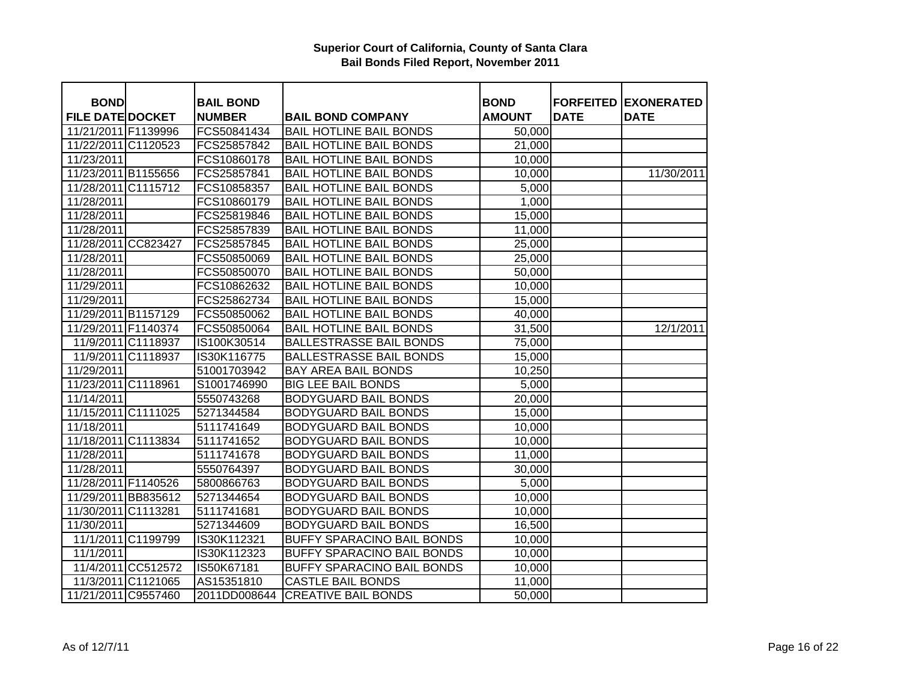| <b>BOND</b>             |                    | <b>BAIL BOND</b> |                                   | <b>BOND</b>   |             | <b>FORFEITED EXONERATED</b> |
|-------------------------|--------------------|------------------|-----------------------------------|---------------|-------------|-----------------------------|
| <b>FILE DATE DOCKET</b> |                    | <b>NUMBER</b>    | <b>BAIL BOND COMPANY</b>          | <b>AMOUNT</b> | <b>DATE</b> | <b>DATE</b>                 |
| 11/21/2011 F1139996     |                    | FCS50841434      | <b>BAIL HOTLINE BAIL BONDS</b>    | 50,000        |             |                             |
| 11/22/2011 C1120523     |                    | FCS25857842      | <b>BAIL HOTLINE BAIL BONDS</b>    | 21,000        |             |                             |
| 11/23/2011              |                    | FCS10860178      | <b>BAIL HOTLINE BAIL BONDS</b>    | 10,000        |             |                             |
| 11/23/2011 B1155656     |                    | FCS25857841      | <b>BAIL HOTLINE BAIL BONDS</b>    | 10,000        |             | 11/30/2011                  |
| 11/28/2011 C1115712     |                    | FCS10858357      | <b>BAIL HOTLINE BAIL BONDS</b>    | 5,000         |             |                             |
| 11/28/2011              |                    | FCS10860179      | <b>BAIL HOTLINE BAIL BONDS</b>    | 1,000         |             |                             |
| 11/28/2011              |                    | FCS25819846      | <b>BAIL HOTLINE BAIL BONDS</b>    | 15,000        |             |                             |
| 11/28/2011              |                    | FCS25857839      | <b>BAIL HOTLINE BAIL BONDS</b>    | 11,000        |             |                             |
| 11/28/2011 CC823427     |                    | FCS25857845      | <b>BAIL HOTLINE BAIL BONDS</b>    | 25,000        |             |                             |
| 11/28/2011              |                    | FCS50850069      | <b>BAIL HOTLINE BAIL BONDS</b>    | 25,000        |             |                             |
| 11/28/2011              |                    | FCS50850070      | <b>BAIL HOTLINE BAIL BONDS</b>    | 50,000        |             |                             |
| 11/29/2011              |                    | FCS10862632      | <b>BAIL HOTLINE BAIL BONDS</b>    | 10,000        |             |                             |
| 11/29/2011              |                    | FCS25862734      | <b>BAIL HOTLINE BAIL BONDS</b>    | 15,000        |             |                             |
| 11/29/2011 B1157129     |                    | FCS50850062      | <b>BAIL HOTLINE BAIL BONDS</b>    | 40,000        |             |                             |
| 11/29/2011 F1140374     |                    | FCS50850064      | <b>BAIL HOTLINE BAIL BONDS</b>    | 31,500        |             | 12/1/2011                   |
|                         | 11/9/2011 C1118937 | IS100K30514      | <b>BALLESTRASSE BAIL BONDS</b>    | 75,000        |             |                             |
| 11/9/2011 C1118937      |                    | IS30K116775      | <b>BALLESTRASSE BAIL BONDS</b>    | 15,000        |             |                             |
| 11/29/2011              |                    | 51001703942      | <b>BAY AREA BAIL BONDS</b>        | 10,250        |             |                             |
| 11/23/2011 C1118961     |                    | S1001746990      | <b>BIG LEE BAIL BONDS</b>         | 5,000         |             |                             |
| 11/14/2011              |                    | 5550743268       | <b>BODYGUARD BAIL BONDS</b>       | 20,000        |             |                             |
| 11/15/2011 C1111025     |                    | 5271344584       | <b>BODYGUARD BAIL BONDS</b>       | 15,000        |             |                             |
| 11/18/2011              |                    | 5111741649       | <b>BODYGUARD BAIL BONDS</b>       | 10,000        |             |                             |
| 11/18/2011 C1113834     |                    | 5111741652       | <b>BODYGUARD BAIL BONDS</b>       | 10,000        |             |                             |
| 11/28/2011              |                    | 5111741678       | <b>BODYGUARD BAIL BONDS</b>       | 11,000        |             |                             |
| 11/28/2011              |                    | 5550764397       | <b>BODYGUARD BAIL BONDS</b>       | 30,000        |             |                             |
| 11/28/2011 F1140526     |                    | 5800866763       | <b>BODYGUARD BAIL BONDS</b>       | 5,000         |             |                             |
| 11/29/2011 BB835612     |                    | 5271344654       | <b>BODYGUARD BAIL BONDS</b>       | 10,000        |             |                             |
| 11/30/2011 C1113281     |                    | 5111741681       | <b>BODYGUARD BAIL BONDS</b>       | 10,000        |             |                             |
| 11/30/2011              |                    | 5271344609       | <b>BODYGUARD BAIL BONDS</b>       | 16,500        |             |                             |
|                         | 11/1/2011 C1199799 | IS30K112321      | <b>BUFFY SPARACINO BAIL BONDS</b> | 10,000        |             |                             |
| 11/1/2011               |                    | IS30K112323      | <b>BUFFY SPARACINO BAIL BONDS</b> | 10,000        |             |                             |
|                         | 11/4/2011 CC512572 | IS50K67181       | <b>BUFFY SPARACINO BAIL BONDS</b> | 10,000        |             |                             |
|                         | 11/3/2011 C1121065 | AS15351810       | <b>CASTLE BAIL BONDS</b>          | 11,000        |             |                             |
| 11/21/2011 C9557460     |                    | 2011DD008644     | <b>CREATIVE BAIL BONDS</b>        | 50,000        |             |                             |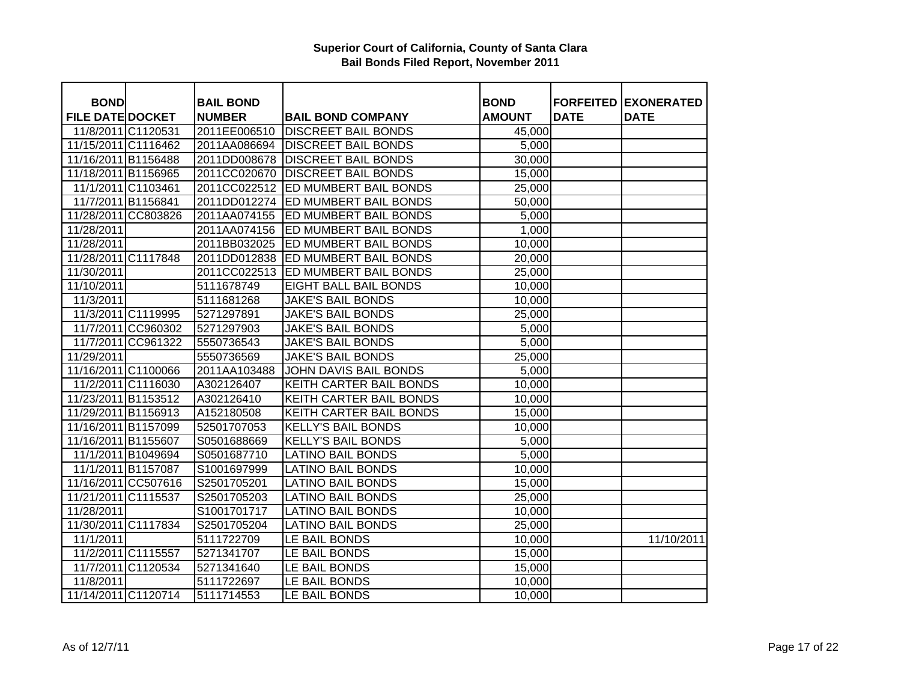| <b>BOND</b>             |                    | <b>BAIL BOND</b> |                            | <b>BOND</b>   |             | <b>FORFEITED EXONERATED</b> |
|-------------------------|--------------------|------------------|----------------------------|---------------|-------------|-----------------------------|
| <b>FILE DATE DOCKET</b> |                    | <b>NUMBER</b>    | <b>BAIL BOND COMPANY</b>   | <b>AMOUNT</b> | <b>DATE</b> | <b>DATE</b>                 |
| 11/8/2011 C1120531      |                    | 2011EE006510     | <b>DISCREET BAIL BONDS</b> | 45,000        |             |                             |
| 11/15/2011 C1116462     |                    | 2011AA086694     | <b>DISCREET BAIL BONDS</b> | 5,000         |             |                             |
| 11/16/2011 B1156488     |                    | 2011DD008678     | <b>DISCREET BAIL BONDS</b> | 30,000        |             |                             |
| 11/18/2011 B1156965     |                    | 2011CC020670     | <b>DISCREET BAIL BONDS</b> | 15,000        |             |                             |
|                         | 11/1/2011 C1103461 | 2011CC022512     | ED MUMBERT BAIL BONDS      | 25,000        |             |                             |
|                         | 11/7/2011 B1156841 | 2011DD012274     | ED MUMBERT BAIL BONDS      | 50,000        |             |                             |
| 11/28/2011 CC803826     |                    | 2011AA074155     | ED MUMBERT BAIL BONDS      | 5,000         |             |                             |
| 11/28/2011              |                    | 2011AA074156     | ED MUMBERT BAIL BONDS      | 1,000         |             |                             |
| 11/28/2011              |                    | 2011BB032025     | ED MUMBERT BAIL BONDS      | 10,000        |             |                             |
| 11/28/2011 C1117848     |                    | 2011DD012838     | ED MUMBERT BAIL BONDS      | 20,000        |             |                             |
| 11/30/2011              |                    | 2011CC022513     | ED MUMBERT BAIL BONDS      | 25,000        |             |                             |
| 11/10/2011              |                    | 5111678749       | EIGHT BALL BAIL BONDS      | 10,000        |             |                             |
| 11/3/2011               |                    | 5111681268       | <b>JAKE'S BAIL BONDS</b>   | 10,000        |             |                             |
|                         | 11/3/2011 C1119995 | 5271297891       | <b>JAKE'S BAIL BONDS</b>   | 25,000        |             |                             |
|                         | 11/7/2011 CC960302 | 5271297903       | <b>JAKE'S BAIL BONDS</b>   | 5,000         |             |                             |
|                         | 11/7/2011 CC961322 | 5550736543       | <b>JAKE'S BAIL BONDS</b>   | 5,000         |             |                             |
| 11/29/2011              |                    | 5550736569       | <b>JAKE'S BAIL BONDS</b>   | 25,000        |             |                             |
| 11/16/2011 C1100066     |                    | 2011AA103488     | JOHN DAVIS BAIL BONDS      | 5,000         |             |                             |
|                         | 11/2/2011 C1116030 | A302126407       | KEITH CARTER BAIL BONDS    | 10,000        |             |                             |
| 11/23/2011 B1153512     |                    | A302126410       | KEITH CARTER BAIL BONDS    | 10,000        |             |                             |
| 11/29/2011 B1156913     |                    | A152180508       | KEITH CARTER BAIL BONDS    | 15,000        |             |                             |
| 11/16/2011 B1157099     |                    | 52501707053      | <b>KELLY'S BAIL BONDS</b>  | 10,000        |             |                             |
| 11/16/2011 B1155607     |                    | S0501688669      | <b>KELLY'S BAIL BONDS</b>  | 5,000         |             |                             |
|                         | 11/1/2011 B1049694 | S0501687710      | <b>LATINO BAIL BONDS</b>   | 5,000         |             |                             |
|                         | 11/1/2011 B1157087 | S1001697999      | <b>LATINO BAIL BONDS</b>   | 10,000        |             |                             |
| 11/16/2011 CC507616     |                    | S2501705201      | <b>LATINO BAIL BONDS</b>   | 15,000        |             |                             |
| 11/21/2011 C1115537     |                    | S2501705203      | <b>LATINO BAIL BONDS</b>   | 25,000        |             |                             |
| 11/28/2011              |                    | S1001701717      | <b>LATINO BAIL BONDS</b>   | 10,000        |             |                             |
| 11/30/2011 C1117834     |                    | S2501705204      | <b>LATINO BAIL BONDS</b>   | 25,000        |             |                             |
| 11/1/2011               |                    | 5111722709       | LE BAIL BONDS              | 10,000        |             | 11/10/2011                  |
|                         | 11/2/2011 C1115557 | 5271341707       | LE BAIL BONDS              | 15,000        |             |                             |
|                         | 11/7/2011 C1120534 | 5271341640       | LE BAIL BONDS              | 15,000        |             |                             |
| 11/8/2011               |                    | 5111722697       | LE BAIL BONDS              | 10,000        |             |                             |
| 11/14/2011 C1120714     |                    | 5111714553       | LE BAIL BONDS              | 10,000        |             |                             |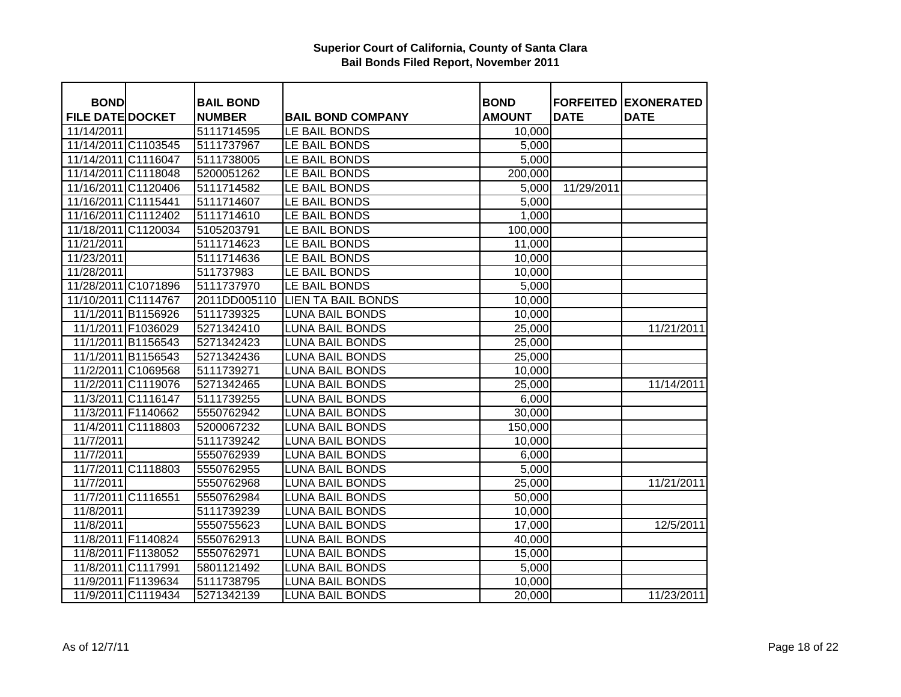| <b>BOND</b>             |                    | <b>BAIL BOND</b> |                           | <b>BOND</b>   |             | <b>FORFEITED EXONERATED</b> |
|-------------------------|--------------------|------------------|---------------------------|---------------|-------------|-----------------------------|
| <b>FILE DATE DOCKET</b> |                    | <b>NUMBER</b>    | <b>BAIL BOND COMPANY</b>  | <b>AMOUNT</b> | <b>DATE</b> | <b>DATE</b>                 |
| 11/14/2011              |                    | 5111714595       | LE BAIL BONDS             | 10,000        |             |                             |
| 11/14/2011 C1103545     |                    | 5111737967       | LE BAIL BONDS             | 5,000         |             |                             |
| 11/14/2011 C1116047     |                    | 5111738005       | LE BAIL BONDS             | 5,000         |             |                             |
| 11/14/2011 C1118048     |                    | 5200051262       | LE BAIL BONDS             | 200,000       |             |                             |
| 11/16/2011 C1120406     |                    | 5111714582       | LE BAIL BONDS             | 5,000         | 11/29/2011  |                             |
| 11/16/2011 C1115441     |                    | 5111714607       | LE BAIL BONDS             | 5,000         |             |                             |
| 11/16/2011 C1112402     |                    | 5111714610       | LE BAIL BONDS             | 1,000         |             |                             |
| 11/18/2011 C1120034     |                    | 5105203791       | LE BAIL BONDS             | 100,000       |             |                             |
| 11/21/2011              |                    | 5111714623       | LE BAIL BONDS             | 11,000        |             |                             |
| 11/23/2011              |                    | 5111714636       | LE BAIL BONDS             | 10,000        |             |                             |
| 11/28/2011              |                    | 511737983        | LE BAIL BONDS             | 10,000        |             |                             |
| 11/28/2011 C1071896     |                    | 5111737970       | LE BAIL BONDS             | 5,000         |             |                             |
| 11/10/2011 C1114767     |                    | 2011DD005110     | <b>LIEN TA BAIL BONDS</b> | 10,000        |             |                             |
|                         | 11/1/2011 B1156926 | 5111739325       | <b>LUNA BAIL BONDS</b>    | 10,000        |             |                             |
|                         | 11/1/2011 F1036029 | 5271342410       | <b>LUNA BAIL BONDS</b>    | 25,000        |             | 11/21/2011                  |
|                         | 11/1/2011 B1156543 | 5271342423       | <b>LUNA BAIL BONDS</b>    | 25,000        |             |                             |
|                         | 11/1/2011 B1156543 | 5271342436       | <b>LUNA BAIL BONDS</b>    | 25,000        |             |                             |
|                         | 11/2/2011 C1069568 | 5111739271       | <b>LUNA BAIL BONDS</b>    | 10,000        |             |                             |
|                         | 11/2/2011 C1119076 | 5271342465       | <b>LUNA BAIL BONDS</b>    | 25,000        |             | 11/14/2011                  |
|                         | 11/3/2011 C1116147 | 5111739255       | <b>LUNA BAIL BONDS</b>    | 6,000         |             |                             |
| 11/3/2011 F1140662      |                    | 5550762942       | <b>LUNA BAIL BONDS</b>    | 30,000        |             |                             |
|                         | 11/4/2011 C1118803 | 5200067232       | <b>LUNA BAIL BONDS</b>    | 150,000       |             |                             |
| 11/7/2011               |                    | 5111739242       | <b>LUNA BAIL BONDS</b>    | 10,000        |             |                             |
| 11/7/2011               |                    | 5550762939       | <b>LUNA BAIL BONDS</b>    | 6,000         |             |                             |
|                         | 11/7/2011 C1118803 | 5550762955       | <b>LUNA BAIL BONDS</b>    | 5,000         |             |                             |
| 11/7/2011               |                    | 5550762968       | <b>LUNA BAIL BONDS</b>    | 25,000        |             | 11/21/2011                  |
| 11/7/2011 C1116551      |                    | 5550762984       | <b>LUNA BAIL BONDS</b>    | 50,000        |             |                             |
| 11/8/2011               |                    | 5111739239       | <b>LUNA BAIL BONDS</b>    | 10,000        |             |                             |
| 11/8/2011               |                    | 5550755623       | <b>LUNA BAIL BONDS</b>    | 17,000        |             | 12/5/2011                   |
|                         | 11/8/2011 F1140824 | 5550762913       | <b>LUNA BAIL BONDS</b>    | 40,000        |             |                             |
|                         | 11/8/2011 F1138052 | 5550762971       | <b>LUNA BAIL BONDS</b>    | 15,000        |             |                             |
| 11/8/2011 C1117991      |                    | 5801121492       | <b>LUNA BAIL BONDS</b>    | 5,000         |             |                             |
|                         | 11/9/2011 F1139634 | 5111738795       | <b>LUNA BAIL BONDS</b>    | 10,000        |             |                             |
|                         | 11/9/2011 C1119434 | 5271342139       | <b>LUNA BAIL BONDS</b>    | 20,000        |             | 11/23/2011                  |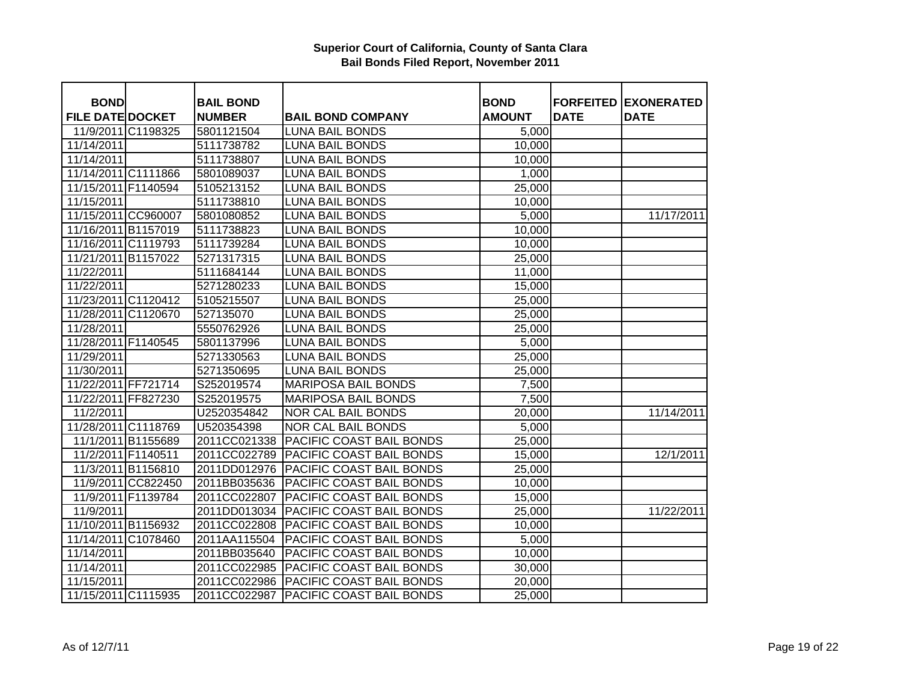| <b>BOND</b>             |                    | <b>BAIL BOND</b> |                                 | <b>BOND</b>   |             | <b>FORFEITED EXONERATED</b> |
|-------------------------|--------------------|------------------|---------------------------------|---------------|-------------|-----------------------------|
| <b>FILE DATE DOCKET</b> |                    | <b>NUMBER</b>    | <b>BAIL BOND COMPANY</b>        | <b>AMOUNT</b> | <b>DATE</b> | <b>DATE</b>                 |
| 11/9/2011 C1198325      |                    | 5801121504       | <b>LUNA BAIL BONDS</b>          | 5,000         |             |                             |
| 11/14/2011              |                    | 5111738782       | <b>LUNA BAIL BONDS</b>          | 10,000        |             |                             |
| 11/14/2011              |                    | 5111738807       | <b>LUNA BAIL BONDS</b>          | 10,000        |             |                             |
| 11/14/2011 C1111866     |                    | 5801089037       | <b>LUNA BAIL BONDS</b>          | 1,000         |             |                             |
| 11/15/2011 F1140594     |                    | 5105213152       | <b>LUNA BAIL BONDS</b>          | 25,000        |             |                             |
| 11/15/2011              |                    | 5111738810       | <b>LUNA BAIL BONDS</b>          | 10,000        |             |                             |
| 11/15/2011 CC960007     |                    | 5801080852       | <b>LUNA BAIL BONDS</b>          | 5,000         |             | 11/17/2011                  |
| 11/16/2011 B1157019     |                    | 5111738823       | <b>LUNA BAIL BONDS</b>          | 10,000        |             |                             |
| 11/16/2011 C1119793     |                    | 5111739284       | <b>LUNA BAIL BONDS</b>          | 10,000        |             |                             |
| 11/21/2011 B1157022     |                    | 5271317315       | <b>LUNA BAIL BONDS</b>          | 25,000        |             |                             |
| 11/22/2011              |                    | 5111684144       | <b>LUNA BAIL BONDS</b>          | 11,000        |             |                             |
| 11/22/2011              |                    | 5271280233       | <b>LUNA BAIL BONDS</b>          | 15,000        |             |                             |
| 11/23/2011 C1120412     |                    | 5105215507       | <b>LUNA BAIL BONDS</b>          | 25,000        |             |                             |
| 11/28/2011 C1120670     |                    | 527135070        | <b>LUNA BAIL BONDS</b>          | 25,000        |             |                             |
| 11/28/2011              |                    | 5550762926       | <b>LUNA BAIL BONDS</b>          | 25,000        |             |                             |
| 11/28/2011 F1140545     |                    | 5801137996       | <b>LUNA BAIL BONDS</b>          | 5,000         |             |                             |
| 11/29/2011              |                    | 5271330563       | <b>LUNA BAIL BONDS</b>          | 25,000        |             |                             |
| 11/30/2011              |                    | 5271350695       | <b>LUNA BAIL BONDS</b>          | 25,000        |             |                             |
| 11/22/2011 FF721714     |                    | S252019574       | <b>MARIPOSA BAIL BONDS</b>      | 7,500         |             |                             |
| 11/22/2011 FF827230     |                    | S252019575       | <b>MARIPOSA BAIL BONDS</b>      | 7,500         |             |                             |
| 11/2/2011               |                    | U2520354842      | <b>NOR CAL BAIL BONDS</b>       | 20,000        |             | 11/14/2011                  |
| 11/28/2011 C1118769     |                    | U520354398       | <b>NOR CAL BAIL BONDS</b>       | 5,000         |             |                             |
| 11/1/2011 B1155689      |                    | 2011CC021338     | <b>PACIFIC COAST BAIL BONDS</b> | 25,000        |             |                             |
| 11/2/2011 F1140511      |                    | 2011CC022789     | <b>PACIFIC COAST BAIL BONDS</b> | 15,000        |             | 12/1/2011                   |
|                         | 11/3/2011 B1156810 | 2011DD012976     | PACIFIC COAST BAIL BONDS        | 25,000        |             |                             |
|                         | 11/9/2011 CC822450 | 2011BB035636     | <b>PACIFIC COAST BAIL BONDS</b> | 10,000        |             |                             |
| 11/9/2011 F1139784      |                    | 2011CC022807     | PACIFIC COAST BAIL BONDS        | 15,000        |             |                             |
| 11/9/2011               |                    | 2011DD013034     | PACIFIC COAST BAIL BONDS        | 25,000        |             | 11/22/2011                  |
| 11/10/2011 B1156932     |                    | 2011CC022808     | <b>PACIFIC COAST BAIL BONDS</b> | 10,000        |             |                             |
| 11/14/2011 C1078460     |                    | 2011AA115504     | PACIFIC COAST BAIL BONDS        | 5,000         |             |                             |
| 11/14/2011              |                    | 2011BB035640     | PACIFIC COAST BAIL BONDS        | 10,000        |             |                             |
| 11/14/2011              |                    | 2011CC022985     | <b>PACIFIC COAST BAIL BONDS</b> | 30,000        |             |                             |
| 11/15/2011              |                    | 2011CC022986     | PACIFIC COAST BAIL BONDS        | 20,000        |             |                             |
| 11/15/2011 C1115935     |                    | 2011CC022987     | <b>PACIFIC COAST BAIL BONDS</b> | 25,000        |             |                             |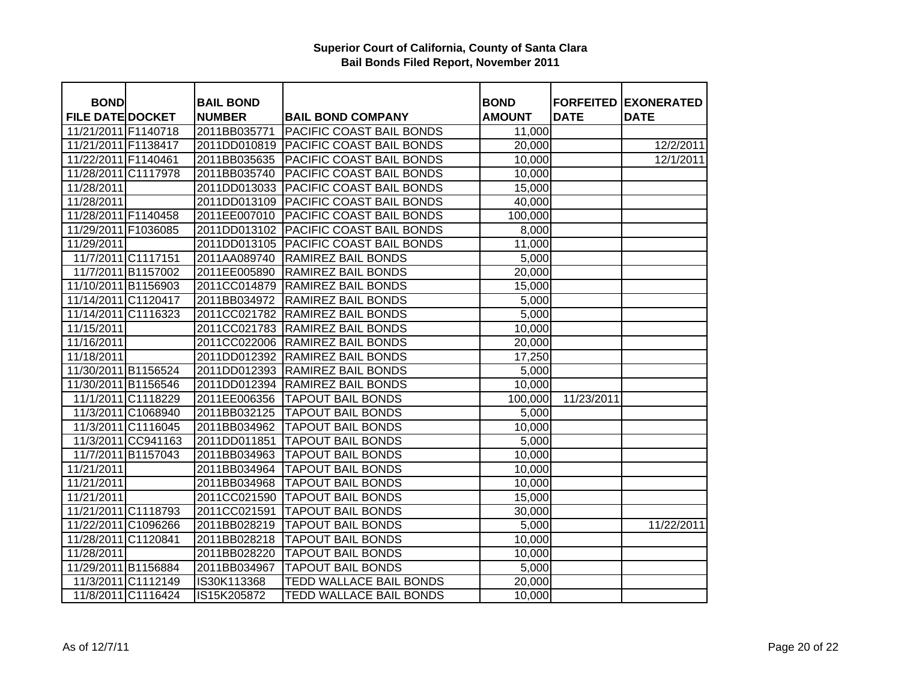| <b>BOND</b>             |                    | <b>BAIL BOND</b> |                                 | <b>BOND</b>      |             | <b>FORFEITED EXONERATED</b> |
|-------------------------|--------------------|------------------|---------------------------------|------------------|-------------|-----------------------------|
| <b>FILE DATE DOCKET</b> |                    | <b>NUMBER</b>    | <b>BAIL BOND COMPANY</b>        | <b>AMOUNT</b>    | <b>DATE</b> | <b>DATE</b>                 |
| 11/21/2011 F1140718     |                    | 2011BB035771     | <b>PACIFIC COAST BAIL BONDS</b> | 11,000           |             |                             |
| 11/21/2011 F1138417     |                    | 2011DD010819     | <b>PACIFIC COAST BAIL BONDS</b> | 20,000           |             | 12/2/2011                   |
| 11/22/2011 F1140461     |                    | 2011BB035635     | <b>PACIFIC COAST BAIL BONDS</b> | 10,000           |             | 12/1/2011                   |
| 11/28/2011 C1117978     |                    | 2011BB035740     | PACIFIC COAST BAIL BONDS        | 10,000           |             |                             |
| 11/28/2011              |                    | 2011DD013033     | <b>PACIFIC COAST BAIL BONDS</b> | 15,000           |             |                             |
| 11/28/2011              |                    | 2011DD013109     | <b>PACIFIC COAST BAIL BONDS</b> | 40,000           |             |                             |
| 11/28/2011 F1140458     |                    | 2011EE007010     | <b>PACIFIC COAST BAIL BONDS</b> | 100,000          |             |                             |
| 11/29/2011 F1036085     |                    | 2011DD013102     | PACIFIC COAST BAIL BONDS        | 8,000            |             |                             |
| 11/29/2011              |                    | 2011DD013105     | PACIFIC COAST BAIL BONDS        | 11,000           |             |                             |
| 11/7/2011 C1117151      |                    | 2011AA089740     | <b>RAMIREZ BAIL BONDS</b>       | 5,000            |             |                             |
| 11/7/2011 B1157002      |                    | 2011EE005890     | <b>RAMIREZ BAIL BONDS</b>       | 20,000           |             |                             |
| 11/10/2011 B1156903     |                    | 2011CC014879     | <b>RAMIREZ BAIL BONDS</b>       | 15,000           |             |                             |
| 11/14/2011 C1120417     |                    | 2011BB034972     | <b>RAMIREZ BAIL BONDS</b>       | 5,000            |             |                             |
| 11/14/2011 C1116323     |                    | 2011CC021782     | <b>RAMIREZ BAIL BONDS</b>       | 5,000            |             |                             |
| 11/15/2011              |                    | 2011CC021783     | <b>RAMIREZ BAIL BONDS</b>       | 10,000           |             |                             |
| 11/16/2011              |                    | 2011CC022006     | <b>RAMIREZ BAIL BONDS</b>       |                  |             |                             |
| 11/18/2011              |                    | 2011DD012392     | <b>RAMIREZ BAIL BONDS</b>       | 20,000<br>17,250 |             |                             |
| 11/30/2011 B1156524     |                    | 2011DD012393     | <b>RAMIREZ BAIL BONDS</b>       | 5,000            |             |                             |
|                         |                    | 2011DD012394     | <b>RAMIREZ BAIL BONDS</b>       |                  |             |                             |
| 11/30/2011 B1156546     |                    |                  | <b>TAPOUT BAIL BONDS</b>        | 10,000           |             |                             |
|                         | 11/1/2011 C1118229 | 2011EE006356     |                                 | 100,000          | 11/23/2011  |                             |
|                         | 11/3/2011 C1068940 | 2011BB032125     | <b>TAPOUT BAIL BONDS</b>        | 5,000            |             |                             |
|                         | 11/3/2011 C1116045 | 2011BB034962     | <b>TAPOUT BAIL BONDS</b>        | 10,000           |             |                             |
|                         | 11/3/2011 CC941163 | 2011DD011851     | <b>TAPOUT BAIL BONDS</b>        | 5,000            |             |                             |
|                         | 11/7/2011 B1157043 | 2011BB034963     | <b>TAPOUT BAIL BONDS</b>        | 10,000           |             |                             |
| 11/21/2011              |                    | 2011BB034964     | <b>TAPOUT BAIL BONDS</b>        | 10,000           |             |                             |
| 11/21/2011              |                    | 2011BB034968     | <b>TAPOUT BAIL BONDS</b>        | 10,000           |             |                             |
| 11/21/2011              |                    | 2011CC021590     | <b>TAPOUT BAIL BONDS</b>        | 15,000           |             |                             |
| 11/21/2011 C1118793     |                    | 2011CC021591     | <b>TAPOUT BAIL BONDS</b>        | 30,000           |             |                             |
| 11/22/2011 C1096266     |                    | 2011BB028219     | <b>TAPOUT BAIL BONDS</b>        | 5,000            |             | 11/22/2011                  |
| 11/28/2011 C1120841     |                    | 2011BB028218     | <b>TAPOUT BAIL BONDS</b>        | 10,000           |             |                             |
| 11/28/2011              |                    | 2011BB028220     | <b>TAPOUT BAIL BONDS</b>        | 10,000           |             |                             |
| 11/29/2011 B1156884     |                    | 2011BB034967     | <b>TAPOUT BAIL BONDS</b>        | 5,000            |             |                             |
|                         | 11/3/2011 C1112149 | IS30K113368      | TEDD WALLACE BAIL BONDS         | 20,000           |             |                             |
|                         | 11/8/2011 C1116424 | IS15K205872      | TEDD WALLACE BAIL BONDS         | 10,000           |             |                             |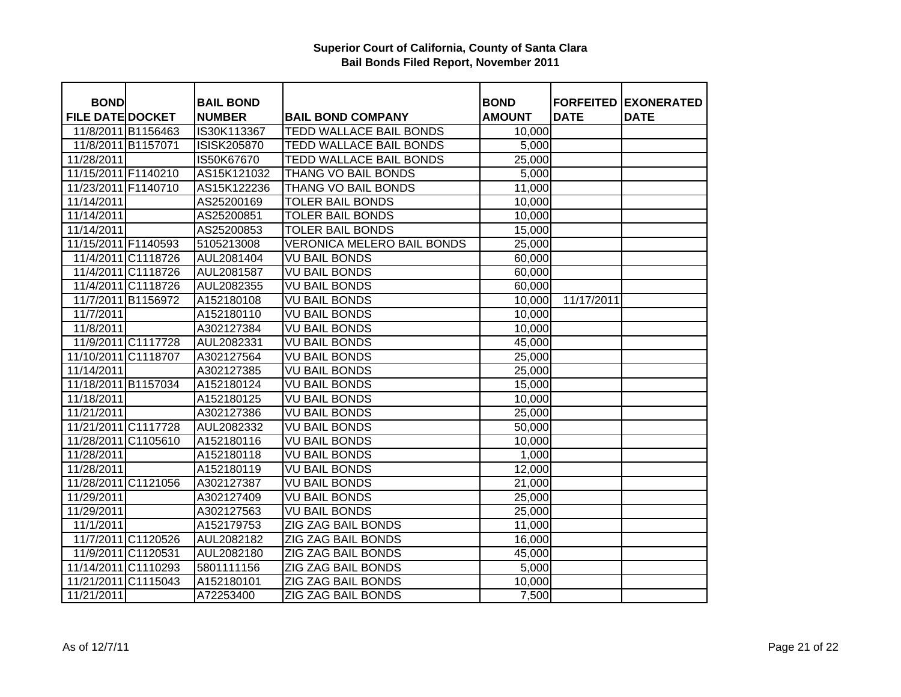| <b>BOND</b>             |                    | <b>BAIL BOND</b>   |                                   | <b>BOND</b>   |             | <b>FORFEITED EXONERATED</b> |
|-------------------------|--------------------|--------------------|-----------------------------------|---------------|-------------|-----------------------------|
| <b>FILE DATE DOCKET</b> |                    | <b>NUMBER</b>      | <b>BAIL BOND COMPANY</b>          | <b>AMOUNT</b> | <b>DATE</b> | <b>DATE</b>                 |
|                         | 11/8/2011 B1156463 | IS30K113367        | TEDD WALLACE BAIL BONDS           | 10,000        |             |                             |
| 11/8/2011 B1157071      |                    | <b>ISISK205870</b> | <b>TEDD WALLACE BAIL BONDS</b>    | 5,000         |             |                             |
| 11/28/2011              |                    | IS50K67670         | <b>TEDD WALLACE BAIL BONDS</b>    | 25,000        |             |                             |
| 11/15/2011 F1140210     |                    | AS15K121032        | THANG VO BAIL BONDS               | 5,000         |             |                             |
| 11/23/2011 F1140710     |                    | AS15K122236        | THANG VO BAIL BONDS               | 11,000        |             |                             |
| 11/14/2011              |                    | AS25200169         | <b>TOLER BAIL BONDS</b>           | 10,000        |             |                             |
| 11/14/2011              |                    | AS25200851         | <b>TOLER BAIL BONDS</b>           | 10,000        |             |                             |
| 11/14/2011              |                    | AS25200853         | <b>TOLER BAIL BONDS</b>           | 15,000        |             |                             |
| 11/15/2011 F1140593     |                    | 5105213008         | <b>VERONICA MELERO BAIL BONDS</b> | 25,000        |             |                             |
|                         | 11/4/2011 C1118726 | AUL2081404         | <b>VU BAIL BONDS</b>              | 60,000        |             |                             |
|                         | 11/4/2011 C1118726 | AUL2081587         | <b>VU BAIL BONDS</b>              | 60,000        |             |                             |
|                         | 11/4/2011 C1118726 | AUL2082355         | <b>VU BAIL BONDS</b>              | 60,000        |             |                             |
|                         | 11/7/2011 B1156972 | A152180108         | <b>VU BAIL BONDS</b>              | 10,000        | 11/17/2011  |                             |
| 11/7/2011               |                    | A152180110         | <b>VU BAIL BONDS</b>              | 10,000        |             |                             |
| 11/8/2011               |                    | A302127384         | VU BAIL BONDS                     | 10,000        |             |                             |
|                         | 11/9/2011 C1117728 | AUL2082331         | VU BAIL BONDS                     | 45,000        |             |                             |
| 11/10/2011 C1118707     |                    | A302127564         | <b>VU BAIL BONDS</b>              | 25,000        |             |                             |
| 11/14/2011              |                    | A302127385         | <b>VU BAIL BONDS</b>              | 25,000        |             |                             |
| 11/18/2011 B1157034     |                    | A152180124         | VU BAIL BONDS                     | 15,000        |             |                             |
| 11/18/2011              |                    | A152180125         | <b>VU BAIL BONDS</b>              | 10,000        |             |                             |
| 11/21/2011              |                    | A302127386         | <b>VU BAIL BONDS</b>              | 25,000        |             |                             |
| 11/21/2011 C1117728     |                    | AUL2082332         | <b>VU BAIL BONDS</b>              | 50,000        |             |                             |
| 11/28/2011 C1105610     |                    | A152180116         | VU BAIL BONDS                     | 10,000        |             |                             |
| 11/28/2011              |                    | A152180118         | <b>VU BAIL BONDS</b>              | 1,000         |             |                             |
| 11/28/2011              |                    | A152180119         | <b>VU BAIL BONDS</b>              | 12,000        |             |                             |
| 11/28/2011 C1121056     |                    | A302127387         | <b>VU BAIL BONDS</b>              | 21,000        |             |                             |
| 11/29/2011              |                    | A302127409         | <b>VU BAIL BONDS</b>              | 25,000        |             |                             |
| 11/29/2011              |                    | A302127563         | <b>VU BAIL BONDS</b>              | 25,000        |             |                             |
| 11/1/2011               |                    | A152179753         | <b>ZIG ZAG BAIL BONDS</b>         | 11,000        |             |                             |
|                         | 11/7/2011 C1120526 | AUL2082182         | ZIG ZAG BAIL BONDS                | 16,000        |             |                             |
|                         | 11/9/2011 C1120531 | AUL2082180         | ZIG ZAG BAIL BONDS                | 45,000        |             |                             |
| 11/14/2011 C1110293     |                    | 5801111156         | ZIG ZAG BAIL BONDS                | 5,000         |             |                             |
| 11/21/2011 C1115043     |                    | A152180101         | ZIG ZAG BAIL BONDS                | 10,000        |             |                             |
| 11/21/2011              |                    | A72253400          | ZIG ZAG BAIL BONDS                | 7,500         |             |                             |